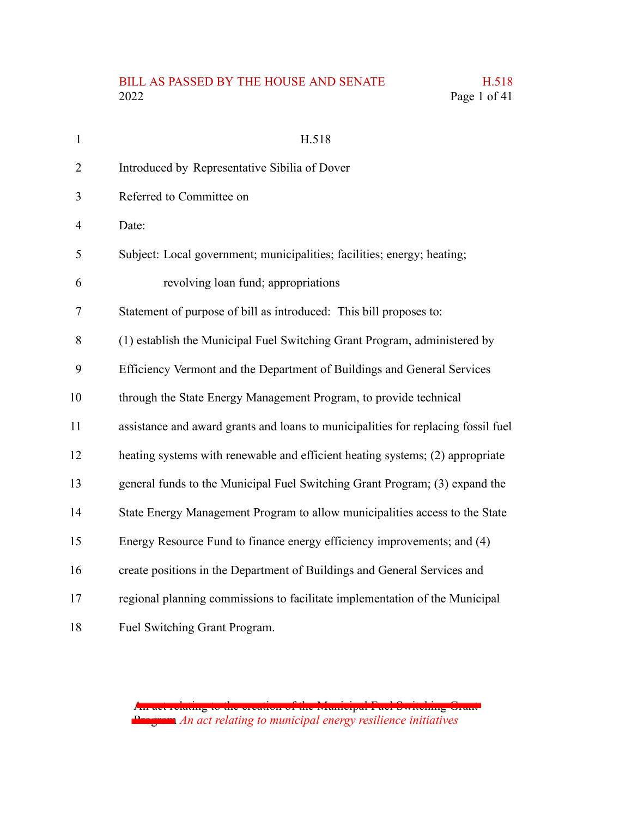# BILL AS PASSED BY THE HOUSE AND SENATE H.518<br>2022 Page 1 of 41

| $\mathbf{1}$   | H.518                                                                             |
|----------------|-----------------------------------------------------------------------------------|
| $\overline{2}$ | Introduced by Representative Sibilia of Dover                                     |
| 3              | Referred to Committee on                                                          |
| $\overline{4}$ | Date:                                                                             |
| 5              | Subject: Local government; municipalities; facilities; energy; heating;           |
| 6              | revolving loan fund; appropriations                                               |
| $\tau$         | Statement of purpose of bill as introduced: This bill proposes to:                |
| 8              | (1) establish the Municipal Fuel Switching Grant Program, administered by         |
| 9              | Efficiency Vermont and the Department of Buildings and General Services           |
| 10             | through the State Energy Management Program, to provide technical                 |
| 11             | assistance and award grants and loans to municipalities for replacing fossil fuel |
| 12             | heating systems with renewable and efficient heating systems; (2) appropriate     |
| 13             | general funds to the Municipal Fuel Switching Grant Program; (3) expand the       |
| 14             | State Energy Management Program to allow municipalities access to the State       |
| 15             | Energy Resource Fund to finance energy efficiency improvements; and (4)           |
| 16             | create positions in the Department of Buildings and General Services and          |
| 17             | regional planning commissions to facilitate implementation of the Municipal       |
| 18             | Fuel Switching Grant Program.                                                     |

An act relating to the creation of the Municipal Fuel Switching Grant Program *An act relating to municipal energy resilience initiatives*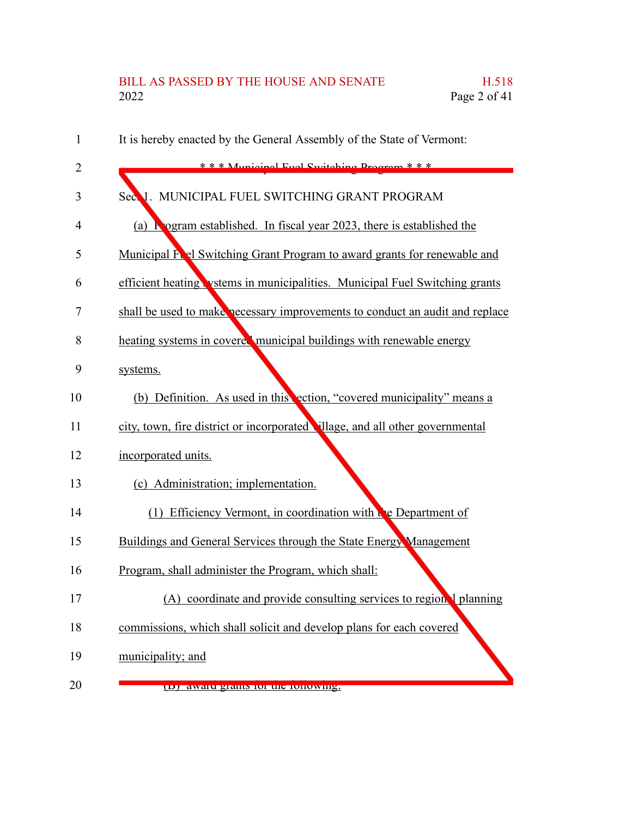# BILL AS PASSED BY THE HOUSE AND SENATE H.518<br>2022 Page 2 of 41 Page  $2$  of  $41$

| 1  | It is hereby enacted by the General Assembly of the State of Vermont:         |
|----|-------------------------------------------------------------------------------|
| 2  | $* * *$ Municipal Fuel Switching Dragram $* * *$                              |
| 3  | MUNICIPAL FUEL SWITCHING GRANT PROGRAM<br>Secol.                              |
| 4  | (a) <b>R</b> ogram established. In fiscal year 2023, there is established the |
| 5  | Municipal Ford Switching Grant Program to award grants for renewable and      |
| 6  | efficient heating vstems in municipalities. Municipal Fuel Switching grants   |
| 7  | shall be used to make necessary improvements to conduct an audit and replace  |
| 8  | heating systems in covered municipal buildings with renewable energy          |
| 9  | systems.                                                                      |
| 10 | (b) Definition. As used in this ection, "covered municipality" means a        |
| 11 | city, town, fire district or incorporated illage, and all other governmental  |
| 12 | incorporated units.                                                           |
| 13 | (c) Administration; implementation.                                           |
| 14 | (1) Efficiency Vermont, in coordination with the Department of                |
| 15 | Buildings and General Services through the State Energy Management            |
| 16 | Program, shall administer the Program, which shall:                           |
| 17 | coordinate and provide consulting services to region I planning               |
| 18 | commissions, which shall solicit and develop plans for each covered           |
| 19 | municipality; and                                                             |
| 20 | (D) awaru grams for the following.                                            |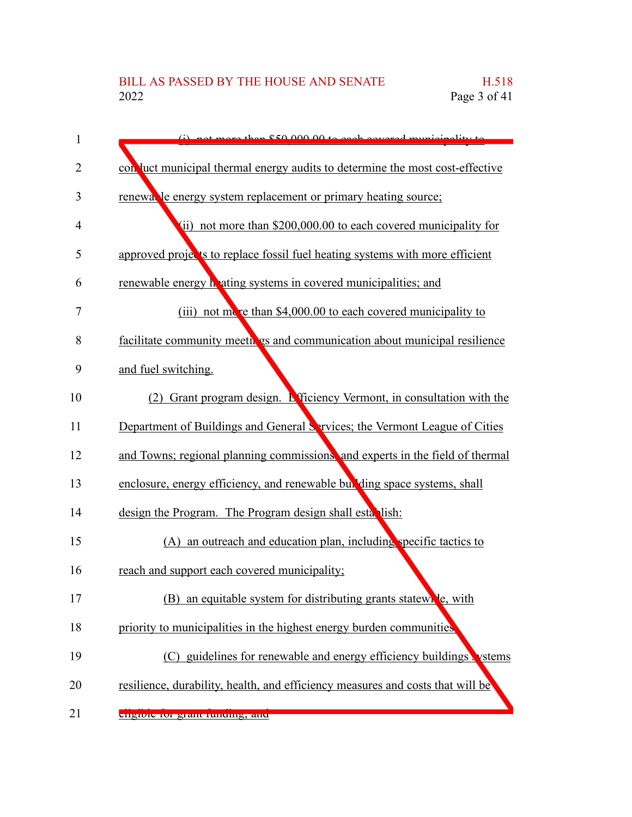| 1              | $\omega$ not more than $$50,000,00$ to each covered municipality to            |
|----------------|--------------------------------------------------------------------------------|
| $\overline{2}$ | con luct municipal thermal energy audits to determine the most cost-effective  |
| 3              | renewalle energy system replacement or primary heating source;                 |
| 4              | (ii) not more than \$200,000.00 to each covered municipality for               |
| 5              | approved projects to replace fossil fuel heating systems with more efficient   |
| 6              | renewable energy hating systems in covered municipalities; and                 |
| 7              | (iii) not more than \$4,000.00 to each covered municipality to                 |
| 8              | facilitate community meetings and communication about municipal resilience     |
| 9              | and fuel switching.                                                            |
| 10             | (2) Grant program design. <b>E</b> fficiency Vermont, in consultation with the |
| 11             | Department of Buildings and General Services; the Vermont League of Cities     |
| 12             | and Towns; regional planning commissions, and experts in the field of thermal  |
| 13             | enclosure, energy efficiency, and renewable bull ding space systems, shall     |
| 14             | design the Program. The Program design shall establish:                        |
| 15             | (A) an outreach and education plan, including specific tactics to              |
| 16             | reach and support each covered municipality;                                   |
| 17             | (B) an equitable system for distributing grants statewrle, with                |
| 18             | priority to municipalities in the highest energy burden communities,           |
| 19             | (C) guidelines for renewable and energy efficiency buildings vstems            |
| 20             | resilience, durability, health, and efficiency measures and costs that will be |
| 21             | engiore roi gram runumg, and                                                   |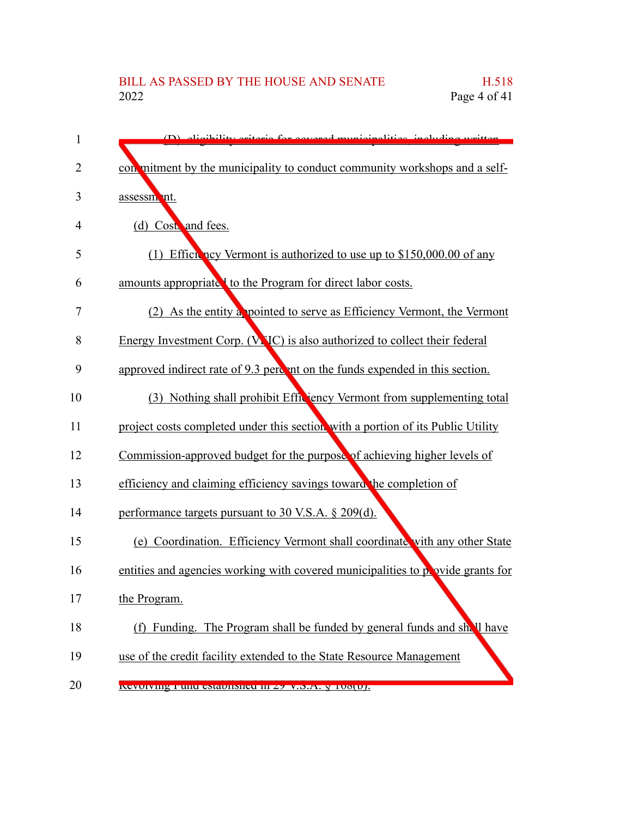# BILL AS PASSED BY THE HOUSE AND SENATE H.518<br>2022 Page 4 of 41 Page 4 of  $41$

| 1  | (D) digibility oritoria for covered municipalities including written            |
|----|---------------------------------------------------------------------------------|
| 2  | con mitment by the municipality to conduct community workshops and a self-      |
| 3  | assessment.                                                                     |
| 4  | (d) Cost, and fees.                                                             |
| 5  | (1) Efficiency Vermont is authorized to use up to \$150,000.00 of any           |
| 6  | amounts appropriate to the Program for direct labor costs.                      |
| 7  | (2) As the entity a pointed to serve as Efficiency Vermont, the Vermont         |
| 8  | Energy Investment Corp. (VNC) is also authorized to collect their federal       |
| 9  | approved indirect rate of 9.3 percent on the funds expended in this section.    |
| 10 | (3) Nothing shall prohibit Efficiency Vermont from supplementing total          |
| 11 | project costs completed under this section with a portion of its Public Utility |
| 12 | Commission-approved budget for the purpose of achieving higher levels of        |
| 13 | efficiency and claiming efficiency savings toward the completion of             |
| 14 | performance targets pursuant to 30 V.S.A. § 209(d).                             |
| 15 | (e) Coordination. Efficiency Vermont shall coordinate with any other State      |
| 16 | entities and agencies working with covered municipalities to povide grants for  |
| 17 | the Program.                                                                    |
| 18 | (f) Funding. The Program shall be funded by general funds and shall have        |
| 19 | use of the credit facility extended to the State Resource Management            |
| 20 | INCYUTYING PURU CSRAUHSHCU III Z7 V.S.A. S TUOLUJ.                              |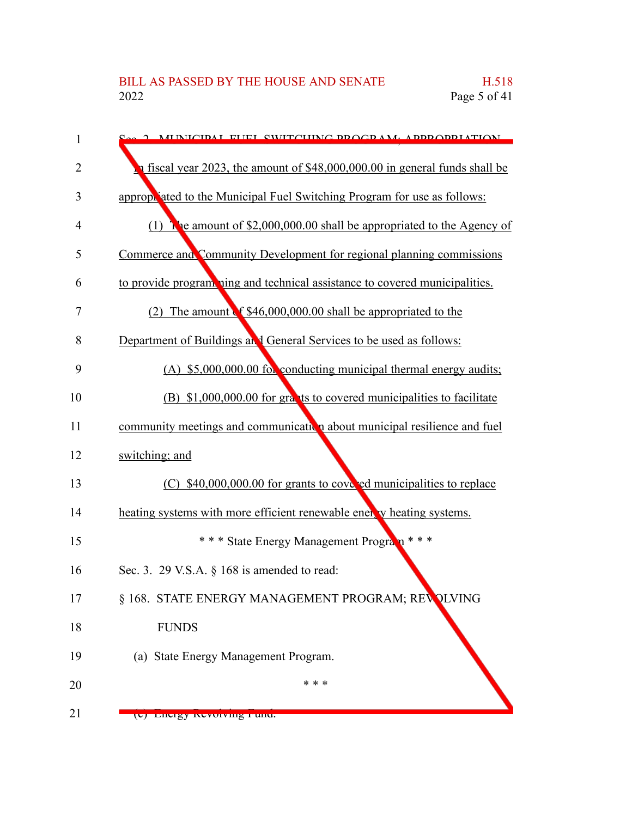| 1              | 2 MENICIDAL FEEL CWITCHING BROCD AM. ABBROBDIATION                          |
|----------------|-----------------------------------------------------------------------------|
| $\overline{2}$ | n fiscal year 2023, the amount of \$48,000,000.00 in general funds shall be |
| 3              | appropriated to the Municipal Fuel Switching Program for use as follows:    |
| $\overline{4}$ | (1) The amount of $$2,000,000.00$ shall be appropriated to the Agency of    |
| 5              | Commerce and Community Development for regional planning commissions        |
| 6              | to provide program ning and technical assistance to covered municipalities. |
| 7              | The amount of \$46,000,000.00 shall be appropriated to the<br>(2)           |
| 8              | Department of Buildings and General Services to be used as follows:         |
| 9              | (A) \$5,000,000.00 for conducting municipal thermal energy audits;          |
| 10             | (B) \$1,000,000.00 for grants to covered municipalities to facilitate       |
| 11             | community meetings and communication about municipal resilience and fuel    |
| 12             | switching; and                                                              |
| 13             | (C) \$40,000,000.00 for grants to cove ed municipalities to replace         |
| 14             | heating systems with more efficient renewable ener v heating systems.       |
| 15             | *** State Energy Management Program ***                                     |
| 16             | Sec. 3. 29 V.S.A. $\S$ 168 is amended to read:                              |
| 17             | § 168. STATE ENERGY MANAGEMENT PROGRAM; REVOLVING                           |
| 18             | <b>FUNDS</b>                                                                |
| 19             | (a) State Energy Management Program.                                        |
| 20             | * * *                                                                       |
| 21             | (c) Energy Revolving Fund.                                                  |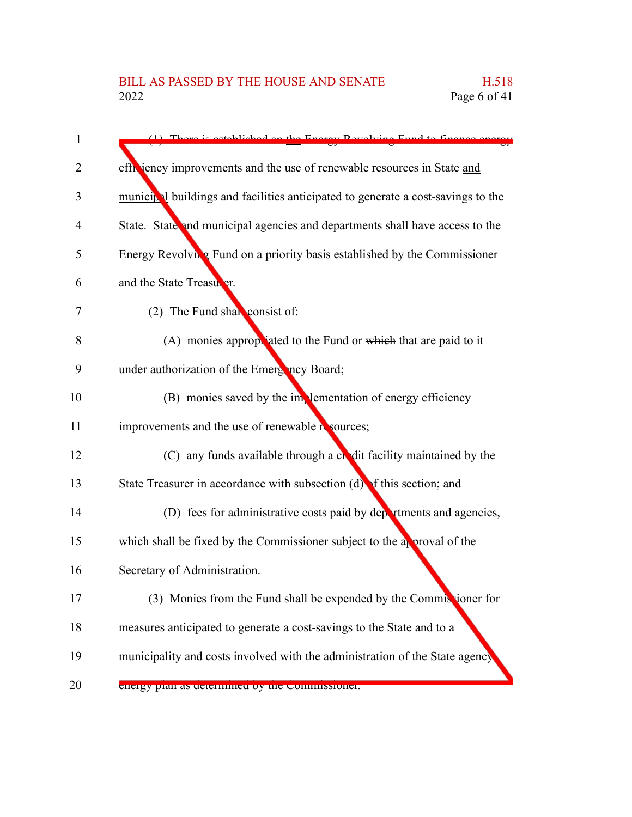| $\mathbf{1}$ | (1) Thora is ostablished on the Energy Develving Fund to finance                 |
|--------------|----------------------------------------------------------------------------------|
| 2            | efficiency improvements and the use of renewable resources in State and          |
| 3            | municipal buildings and facilities anticipated to generate a cost-savings to the |
| 4            | State. State and municipal agencies and departments shall have access to the     |
| 5            | Energy Revolving Fund on a priority basis established by the Commissioner        |
| 6            | and the State Treasurer.                                                         |
| 7            | (2) The Fund shall consist of:                                                   |
| 8            | (A) monies appropriated to the Fund or which that are paid to it                 |
| 9            | under authorization of the Emergincy Board;                                      |
| 10           | (B) monies saved by the implementation of energy efficiency                      |
| 11           | improvements and the use of renewable resources;                                 |
| 12           | (C) any funds available through a chedit facility maintained by the              |
| 13           | State Treasurer in accordance with subsection $(d)$ of this section; and         |
| 14           | (D) fees for administrative costs paid by departments and agencies,              |
| 15           | which shall be fixed by the Commissioner subject to the approval of the          |
| 16           | Secretary of Administration.                                                     |
| 17           | (3) Monies from the Fund shall be expended by the Commissioner for               |
| 18           | measures anticipated to generate a cost-savings to the State and to a            |
| 19           | municipality and costs involved with the administration of the State agency      |
| 20           | energy pian as uetermined by the commissioner.                                   |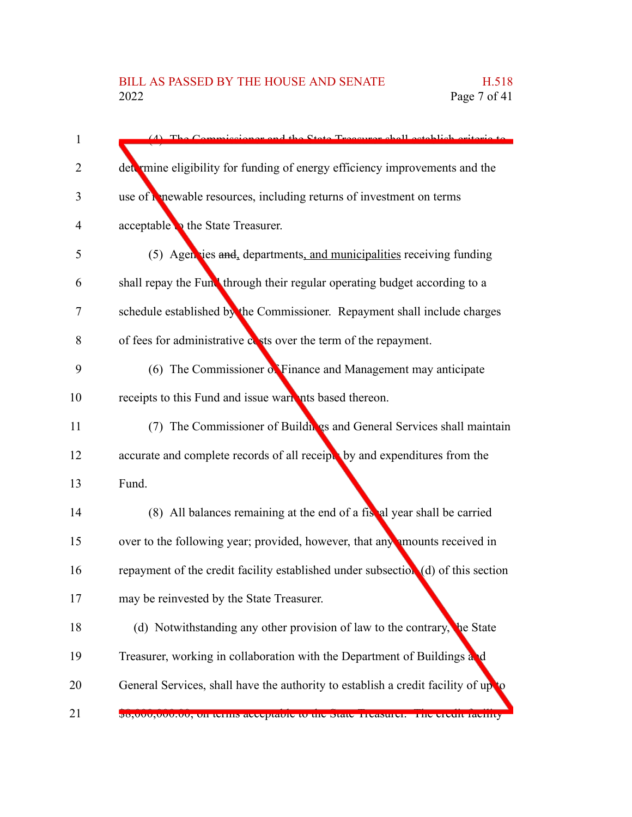| $\mathbf{1}$ | cionar and the State Treasurer shall establish oritoria to<br>$Commin$            |
|--------------|-----------------------------------------------------------------------------------|
| 2            | det mine eligibility for funding of energy efficiency improvements and the        |
| 3            | use of <b>C</b> newable resources, including returns of investment on terms       |
| 4            | acceptable to the State Treasurer.                                                |
| 5            | (5) Agencies and, departments, and municipalities receiving funding               |
| 6            | shall repay the Fund through their regular operating budget according to a        |
| 7            | schedule established by the Commissioner. Repayment shall include charges         |
| 8            | of fees for administrative evists over the term of the repayment.                 |
| 9            | (6) The Commissioner $\delta$ . Finance and Management may anticipate             |
| 10           | receipts to this Fund and issue wark nts based thereon.                           |
| 11           | (7) The Commissioner of Buildings and General Services shall maintain             |
| 12           | accurate and complete records of all receipts by and expenditures from the        |
| 13           | Fund.                                                                             |
| 14           | (8) All balances remaining at the end of a fistal year shall be carried           |
| 15           | over to the following year; provided, however, that any mounts received in        |
| 16           | repayment of the credit facility established under subsection (d) of this section |
| 17           | may be reinvested by the State Treasurer.                                         |
| 18           | (d) Notwithstanding any other provision of law to the contrary,<br>he State       |
| 19           | Treasurer, working in collaboration with the Department of Buildings and          |
| 20           | General Services, shall have the authority to establish a credit facility of up   |
| 21           | po,000,000.00, on terms acceptable to the state ricasurer. The creati facinty     |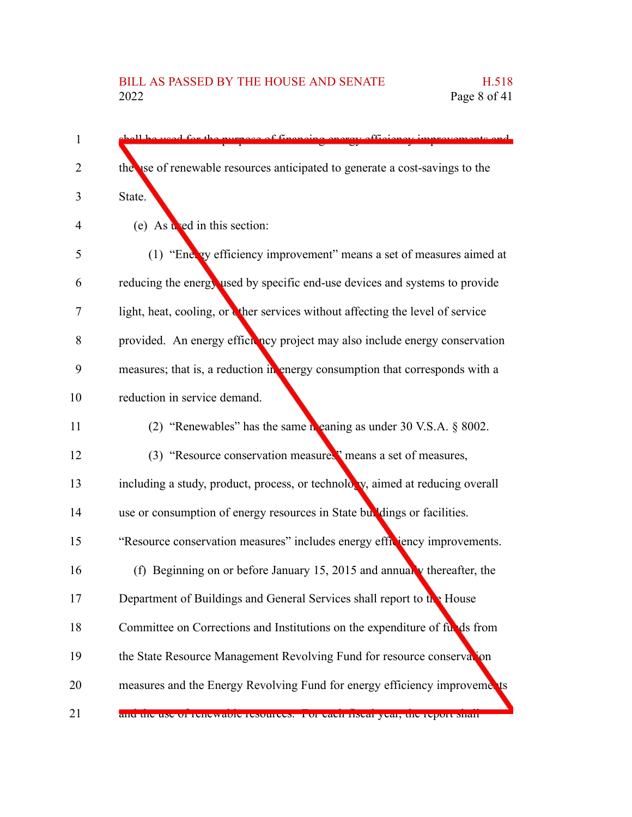shall be used for the purpose of financing energy efficiency improvements and the use of renewable resources anticipated to generate a cost-savings to the State. (e) As  $\mathbf{u}$  ed in this section: (1) "Energy efficiency improvement" means a set of measures aimed at reducing the energy used by specific end-use devices and systems to provide light, heat, cooling, or ther services without affecting the level of service provided. An energy efficiency project may also include energy conservation measures; that is, a reduction in energy consumption that corresponds with a reduction in service demand. (2) "Renewables" has the same meaning as under 30 V.S.A.  $\&$  8002. (3) "Resource conservation measures" means a set of measures, including a study, product, process, or technology, aimed at reducing overall use or consumption of energy resources in State buildings or facilities. "Resource conservation measures" includes energy efficiency improvements. (f) Beginning on or before January 15, 2015 and annually thereafter, the Department of Buildings and General Services shall report to the House Committee on Corrections and Institutions on the expenditure of funds from the State Resource Management Revolving Fund for resource conservation measures and the Energy Revolving Fund for energy efficiency improvements and the use of renewable resources. For each fiscal year, the report shall 1  $\mathfrak{D}$ 3 4 5 6 7 8 9 10 11 12 13 14 15 16 17 18 19 20 21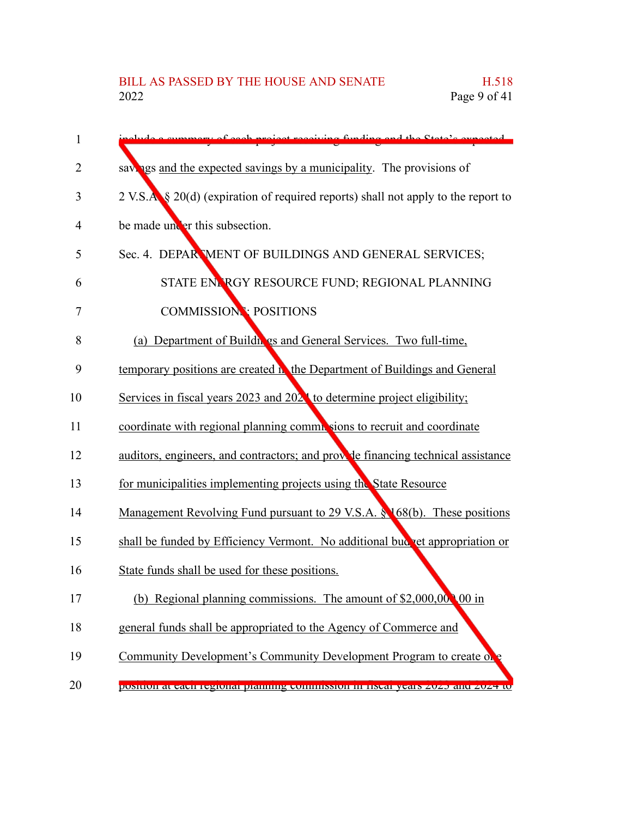| $\mathbf{1}$ | e cummery of each project receiving funding and the State's expected              |
|--------------|-----------------------------------------------------------------------------------|
| 2            | sayings and the expected savings by a municipality. The provisions of             |
| 3            | 2 V.S.A § 20(d) (expiration of required reports) shall not apply to the report to |
| 4            | be made under this subsection.                                                    |
| 5            | Sec. 4. DEPAR MENT OF BUILDINGS AND GENERAL SERVICES;                             |
| 6            | STATE ENLRGY RESOURCE FUND; REGIONAL PLANNING                                     |
| 7            | <b>COMMISSION: POSITIONS</b>                                                      |
| 8            | (a) Department of Buildh gs and General Services. Two full-time,                  |
| 9            | temporary positions are created <b>h</b> the Department of Buildings and General  |
| 10           | Services in fiscal years 2023 and $2024$ to determine project eligibility;        |
| 11           | coordinate with regional planning commissions to recruit and coordinate           |
| 12           | auditors, engineers, and contractors; and provide financing technical assistance  |
| 13           | for municipalities implementing projects using the State Resource                 |
| 14           | Management Revolving Fund pursuant to 29 V.S.A. § 168(b). These positions         |
| 15           | shall be funded by Efficiency Vermont. No additional bud vet appropriation or     |
| 16           | State funds shall be used for these positions.                                    |
| 17           | (b)<br>Regional planning commissions. The amount of \$2,000,000,000 in            |
| 18           | general funds shall be appropriated to the Agency of Commerce and                 |
| 19           | Community Development's Community Development Program to create of                |
| 20           | position at cach regional pianning commission in nsear years 2025 and 2024 to     |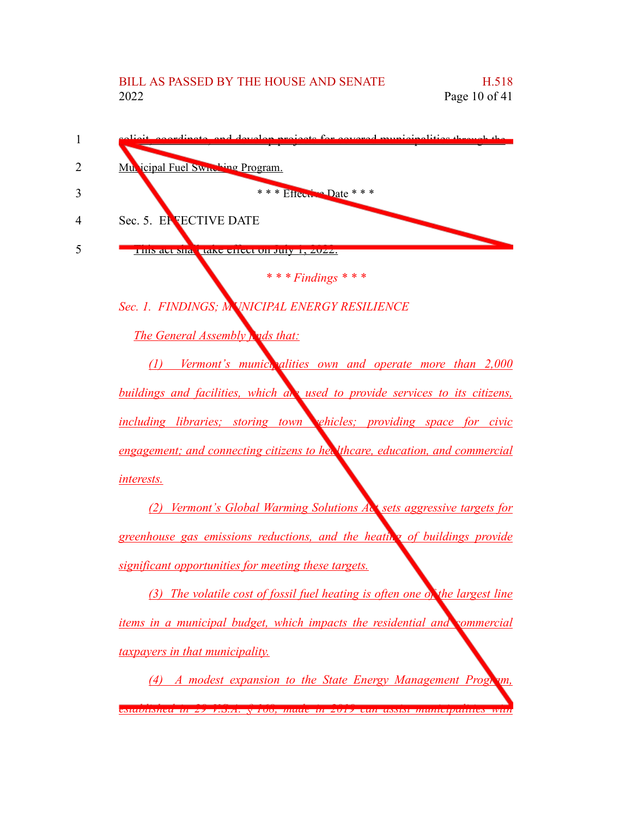

*taxpayers in that municipality.*

*(4) A modest expansion to the State Energy Management Program, established in 29 V.S.A. § 168, made in 2019 can assist municipalities with*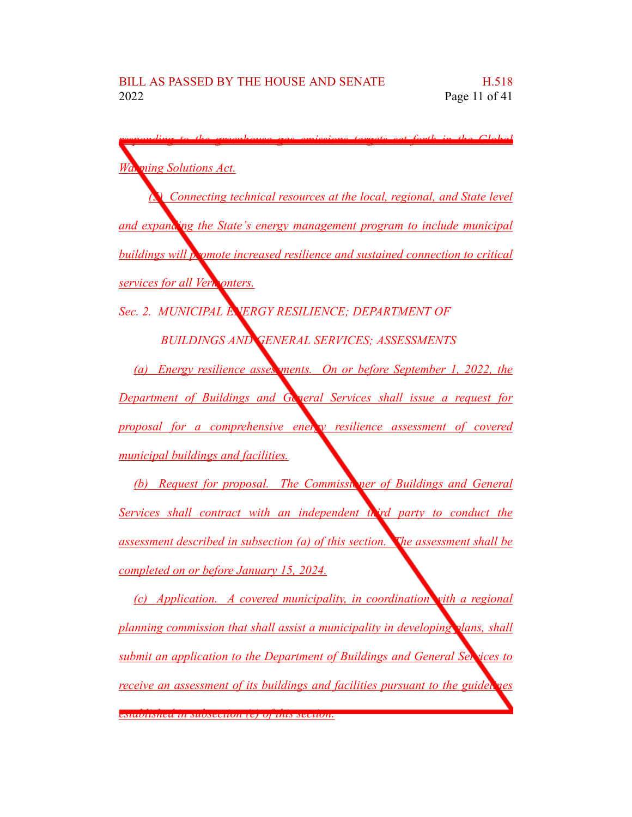*responding to the greenhouse gas emissions targets set forth in the Global Warming Solutions Act. (5) Connecting technical resources at the local, regional, and State level and expanding the State's energy management program to include municipal buildings will promote increased resilience and sustained connection to critical services for all Vermonters. Sec. 2. MUNICIPAL ENERGY RESILIENCE; DEPARTMENT OF BUILDINGS AND GENERAL SERVICES; ASSESSMENTS (a) Energy resilience assessments. On or before September 1, 2022, the Department of Buildings and General Services shall issue a request for proposal for a comprehensive energy resilience assessment of covered municipal buildings and facilities. (b) Request for proposal. The Commissioner of Buildings and General Services shall contract with an independent third party to conduct the assessment described in subsection (a) of this section. The assessment shall be completed on or before January 15, 2024. (c) Application. A covered municipality, in coordination with a regional planning commission that shall assist a municipality in developing plans, shall submit an application to the Department of Buildings and General Services to receive an assessment of its buildings and facilities pursuant to the guidelines established in subsection (e) of this section.*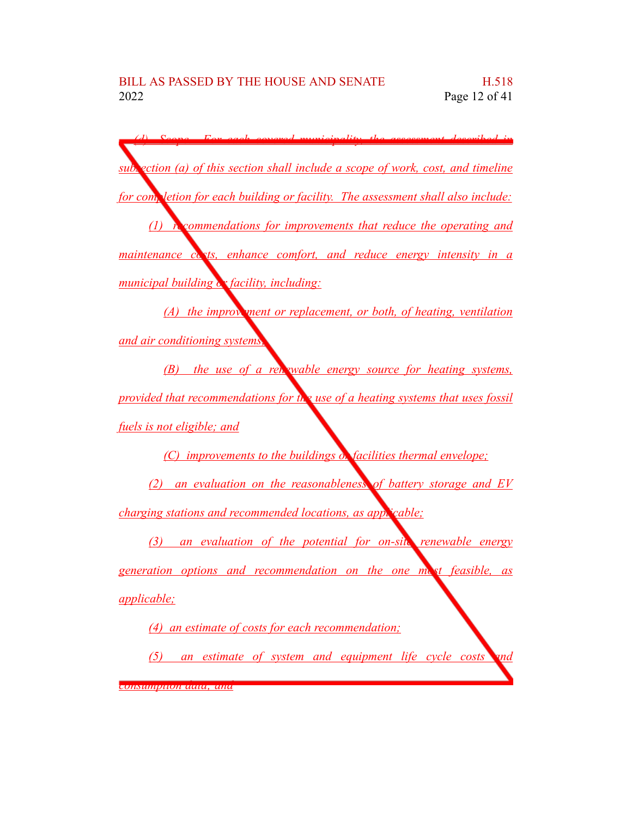*(d) Scope. For each covered municipality, the assessment described in subsection (a) of this section shall include a scope of work, cost, and timeline for completion for each building or facility. The assessment shall also include: (1) recommendations for improvements that reduce the operating and maintenance costs, enhance comfort, and reduce energy intensity in a municipal building or facility, including: (A) the improvement or replacement, or both, of heating, ventilation and air conditioning systems; (B) the use of a renewable energy source for heating systems, provided that recommendations for the use of a heating systems that uses fossil fuels is not eligible; and (C) improvements to the buildings or facilities thermal envelope; (2) an evaluation on the reasonableness of battery storage and EV charging stations and recommended locations, as applicable; (3) an evaluation of the potential for on-site renewable energy generation options and recommendation on the one most feasible, as applicable; (4) an estimate of costs for each recommendation; (5) an estimate of system and equipment life cycle costs and*

*consumption data; and*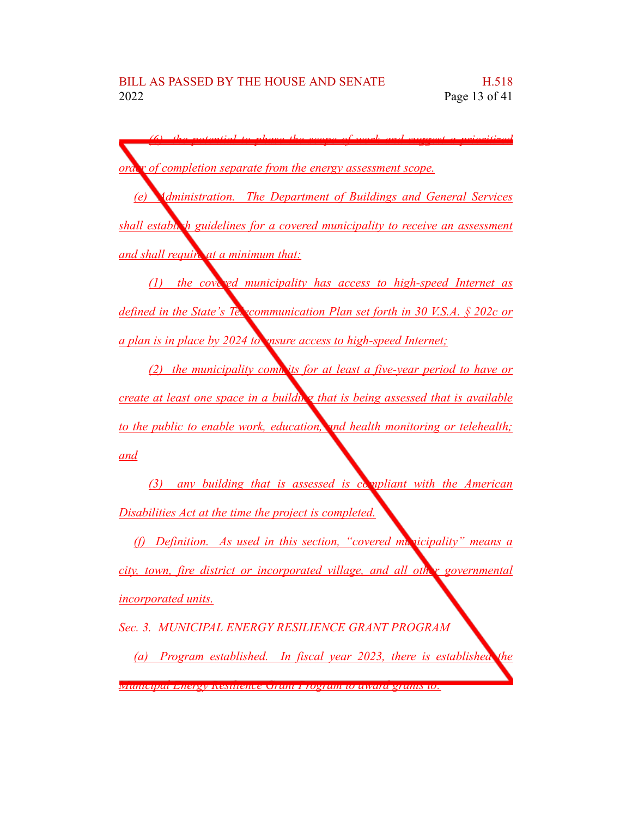*(6) the potential to phase the scope of work and suggest a prioritized order of completion separate from the energy assessment scope.*

*(e) Administration. The Department of Buildings and General Services shall establish guidelines for a covered municipality to receive an assessment and shall require at a minimum that:*

*(1) the covered municipality has access to high-speed Internet as defined in the State's Telecommunication Plan set forth in 30 V.S.A. § 202c or a plan is in place by 2024 to ensure access to high-speed Internet;*

*(2) the municipality commits for at least a five-year period to have or create at least one space in a building that is being assessed that is available to the public to enable work, education, and health monitoring or telehealth; and*

*(3) any building that is assessed is compliant with the American Disabilities Act at the time the project is completed.*

*(f) Definition. As used in this section, "covered municipality" means a city, town, fire district or incorporated village, and all other governmental incorporated units.*

*Sec. 3. MUNICIPAL ENERGY RESILIENCE GRANT PROGRAM*

*(a) Program established. In fiscal year 2023, there is established the Municipal Energy Resilience Grant Program to award grants to:*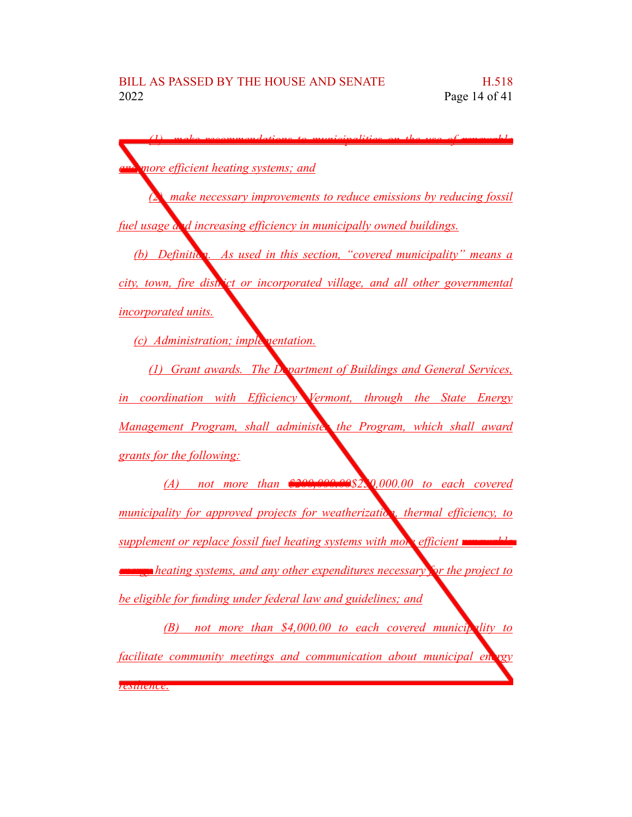| more efficient heating systems; and                                                                 |
|-----------------------------------------------------------------------------------------------------|
| <u><b>A</b></u> make necessary improvements to reduce emissions by reducing fossil                  |
| fuel usage and increasing efficiency in municipally owned buildings.                                |
| (b) Definition. As used in this section, "covered municipality" means a                             |
| city, town, fire district or incorporated village, and all other governmental                       |
| <i>incorporated units.</i>                                                                          |
| (c) Administration; implementation.                                                                 |
| (1) Grant awards. The Department of Buildings and General Services,                                 |
| in coordination with Efficiency Vermont, through the State Energy                                   |
| Management Program, shall administer the Program, which shall award                                 |
| grants for the following:                                                                           |
| $(A)$ not more than $200,000.0982,0,000.00$ to each covered                                         |
| municipality for approved projects for weatherization, thermal efficiency, to                       |
| supplement or replace fossil fuel heating systems with more efficient <b>unner</b>                  |
| <b><i>exangerified heating systems, and any other expenditures necessary for the project to</i></b> |
| be eligible for funding under federal law and guidelines; and                                       |
| not more than \$4,000.00 to each covered municipality to<br>(B)                                     |

*facilitate community meetings and communication about municipal energy*

*resilience.*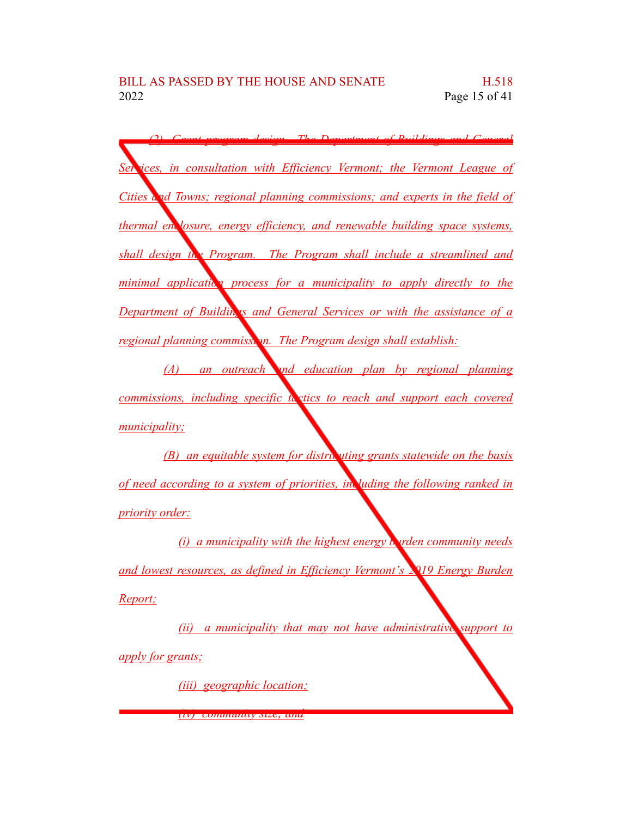*(2) Grant program design. The Department of Buildings and General Services, in consultation with Efficiency Vermont; the Vermont League of Cities and Towns; regional planning commissions; and experts in the field of thermal enclosure, energy efficiency, and renewable building space systems, shall design the Program. The Program shall include a streamlined and minimal application process for a municipality to apply directly to the Department of Buildings and General Services or with the assistance of a regional planning commission. The Program design shall establish:* 

*(A) an outreach and education plan by regional planning commissions, including specific tactics to reach and support each covered municipality;*

*(B) an equitable system for distributing grants statewide on the basis of need according to a system of priorities, including the following ranked in priority order:*

*(i) a municipality with the highest energy burden community needs and lowest resources, as defined in Efficiency Vermont's 2019 Energy Burden Report;*

*(ii) a municipality that may not have administrative support to apply for grants;*

*(iii) geographic location;*

*(iv) community size; and*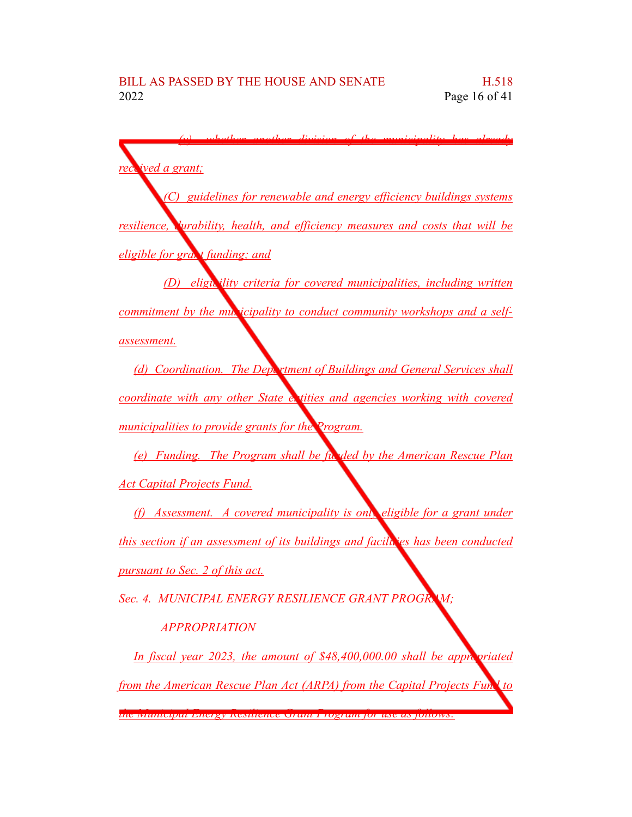×.

*(v) whether another division of the municipality has already*

| rectived a grant;                                                                 |
|-----------------------------------------------------------------------------------|
| (C) guidelines for renewable and energy efficiency buildings systems              |
| resilience, Vurability, health, and efficiency measures and costs that will be    |
| <u>eligible for grad t funding; and </u>                                          |
| (D) eligibility criteria for covered municipalities, including written            |
| <u>commitment by the multicipality to conduct community workshops and a self-</u> |
| <u>assessment.</u>                                                                |
| (d) Coordination. The Deptement of Buildings and General Services shall           |
| coordinate with any other State extities and agencies working with covered        |
| municipalities to provide grants for the Program.                                 |
| (e) Funding. The Program shall be funded by the American Rescue Plan              |
| <u>Act Capital Projects Fund.</u>                                                 |
| (f) Assessment. A covered municipality is only eligible for a grant under         |
| this section if an assessment of its buildings and facilities has been conducted  |
| <u>pursuant to Sec. 2 of this act.</u>                                            |
| Sec. 4. MUNICIPAL ENERGY RESILIENCE GRANT PROGRAM;                                |
| <b>APPROPRIATION</b>                                                              |
| In fiscal year 2023, the amount of \$48,400,000.00 shall be appropriated          |
| from the American Rescue Plan Act (ARPA) from the Capital Projects Funk to        |

*the Municipal Energy Resilience Grant Program for use as follows:*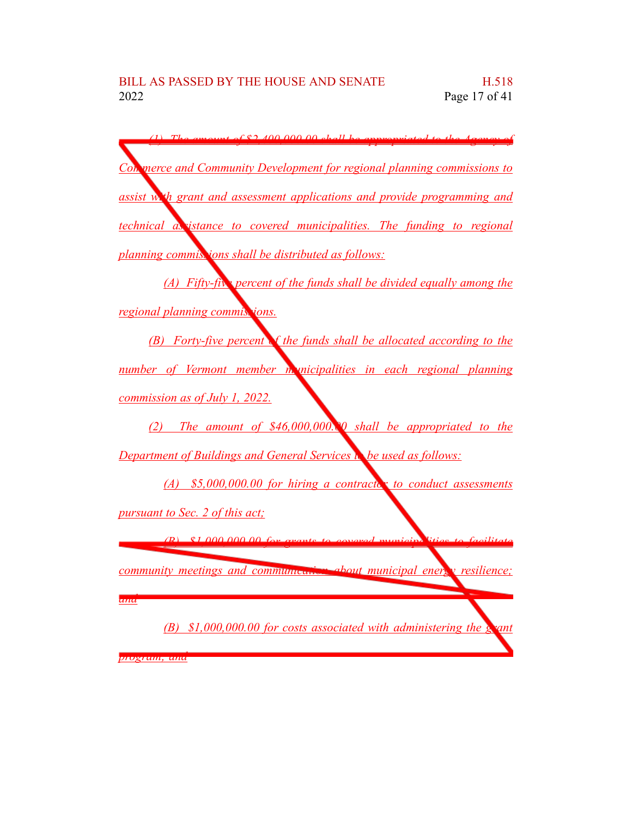*(1) The amount of \$2,400,000.00 shall be appropriated to the Agency of Commerce and Community Development for regional planning commissions to assist with grant and assessment applications and provide programming and technical assistance to covered municipalities. The funding to regional planning commissions shall be distributed as follows: (A) Fifty-five percent of the funds shall be divided equally among the regional planning commissions. (B) Forty-five percent of the funds shall be allocated according to the number of Vermont member municipalities in each regional planning commission as of July 1, 2022. (2) The amount of \$46,000,000.00 shall be appropriated to the Department of Buildings and General Services to be used as follows: (A) \$5,000,000.00 for hiring a contractor to conduct assessments pursuant to Sec. 2 of this act; (B) \$1,000,000.00 for grants to covered municipalities to facilitate community meetings and communication about municipal energy resilience; and (B) \$1,000,000.00 for costs associated with administering the grant program; and*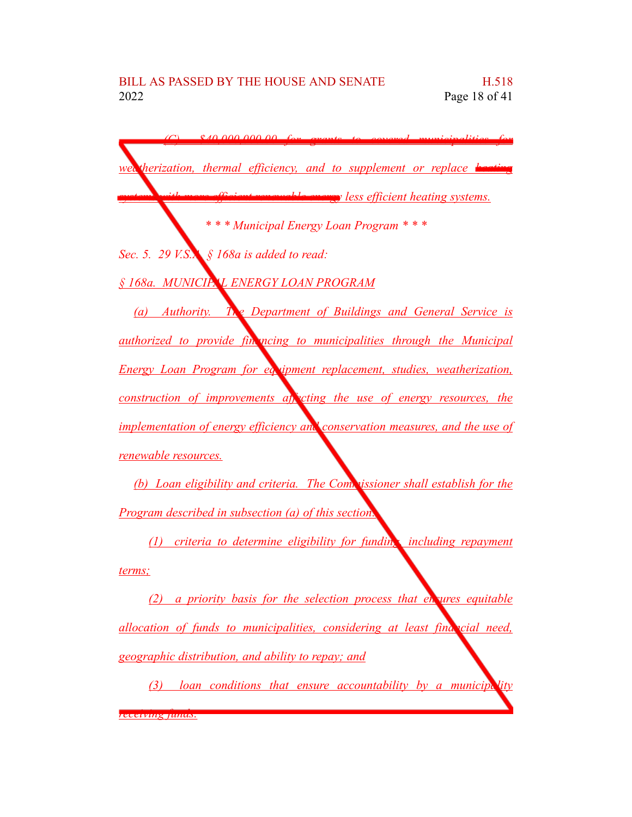*(C) \$40,000,000.00 for grants to covered municipalities for weatherization, thermal efficiency, and to supplement or replace heating systems with more efficient renewable energy less efficient heating systems. \* \* \* Municipal Energy Loan Program \* \* \* Sec. 5. 29 V.S.A. § 168a is added to read: § 168a. MUNICIPAL ENERGY LOAN PROGRAM (a) Authority. The Department of Buildings and General Service is authorized to provide financing to municipalities through the Municipal Energy Loan Program for equipment replacement, studies, weatherization, construction of improvements affecting the use of energy resources, the implementation of energy efficiency and conservation measures, and the use of renewable resources. (b) Loan eligibility and criteria. The Commissioner shall establish for the Program described in subsection (a) of this section: (1) criteria to determine eligibility for funding, including repayment*

*terms;*

*(2) a priority basis for the selection process that ensures equitable allocation of funds to municipalities, considering at least financial need, geographic distribution, and ability to repay; and*

*(3) loan conditions that ensure accountability by a municipality receiving funds.*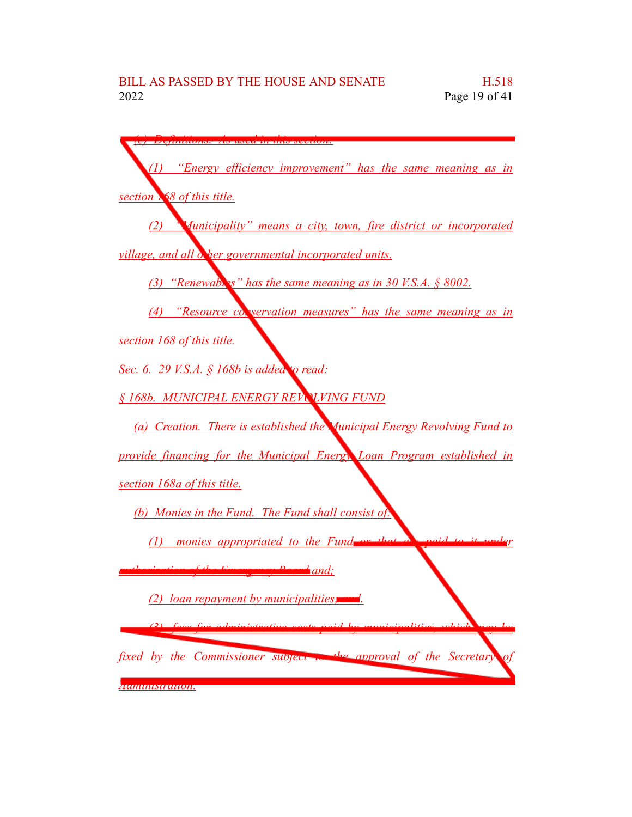*(c) Definitions. As used in this section: (1) "Energy efficiency improvement" has the same meaning as in section 168 of this title. (2) "Municipality" means a city, town, fire district or incorporated village, and all other governmental incorporated units. (3) "Renewables" has the same meaning as in 30 V.S.A. § 8002. (4) "Resource conservation measures" has the same meaning as in section 168 of this title. Sec. 6. 29 V.S.A. § 168b is added to read: § 168b. MUNICIPAL ENERGY REVOLVING FUND (a) Creation. There is established the Municipal Energy Revolving Fund to provide financing for the Municipal Energy Loan Program established in section 168a of this title. (b) Monies in the Fund. The Fund shall consist of:*  $(1)$  *monies appropriated to the Fund authorization of the Emergency Board and; (2) loan repayment by municipalities; and. (3) fees for administrative costs paid by municipalities, which may be fixed by the Commissioner subject to the approval of the Secretary of Administration.*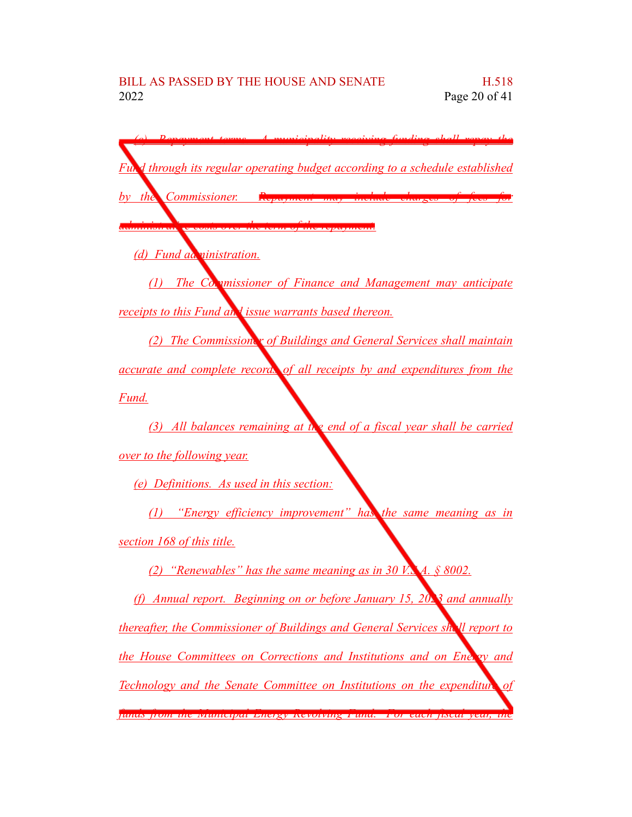*(c) Repayment terms. A municipality receiving funding shall repay the Fund through its regular operating budget according to a schedule established by the Commissioner. administrative costs over the term of the repayment. (d) Fund administration. (1) The Commissioner of Finance and Management may anticipate receipts to this Fund and issue warrants based thereon. (2) The Commissioner of Buildings and General Services shall maintain accurate and complete records of all receipts by and expenditures from the Fund. (3) All balances remaining at the end of a fiscal year shall be carried over to the following year. (e) Definitions. As used in this section: (1) "Energy efficiency improvement" has the same meaning as in section 168 of this title. (2) "Renewables" has the same meaning as in 30 V.S.A. § 8002. (f) Annual report. Beginning on or before January 15, 2023 and annually thereafter, the Commissioner of Buildings and General Services shall report to the House Committees on Corrections and Institutions and on Energy and Technology and the Senate Committee on Institutions on the expenditure of funds from the Municipal Energy Revolving Fund. For each fiscal year, the*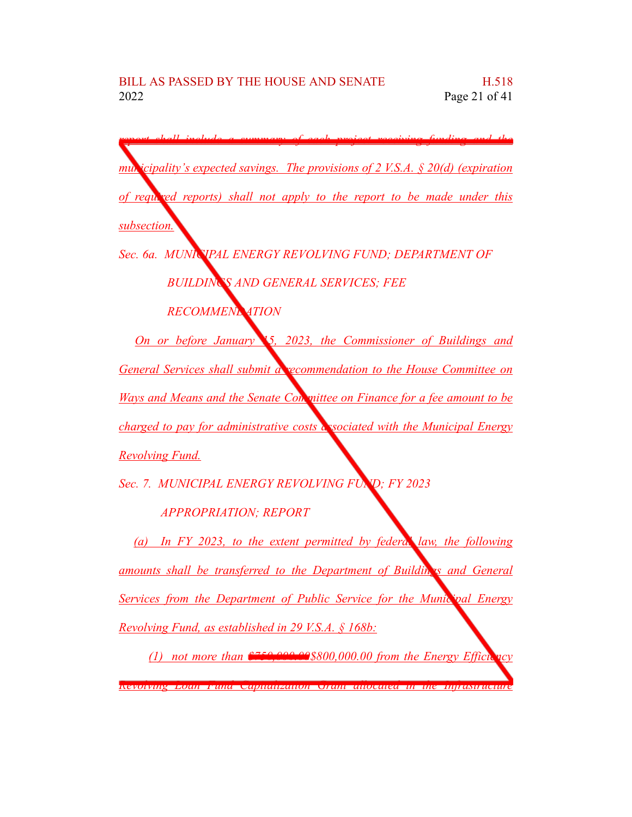*report shall include a summary of each project receiving funding and the municipality's expected savings. The provisions of 2 V.S.A. § 20(d) (expiration of required reports) shall not apply to the report to be made under this subsection. Sec. 6a. MUNICIPAL ENERGY REVOLVING FUND; DEPARTMENT OF BUILDINGS AND GENERAL SERVICES; FEE RECOMMENDATION On or before January 15, 2023, the Commissioner of Buildings and General Services shall submit a recommendation to the House Committee on Ways and Means and the Senate Committee on Finance for a fee amount to be charged to pay for administrative costs associated with the Municipal Energy Revolving Fund. Sec. 7. MUNICIPAL ENERGY REVOLVING FUND; FY 2023 APPROPRIATION; REPORT (a) In FY 2023, to the extent permitted by federal law, the following*

*amounts shall be transferred to the Department of Buildings and General Services from the Department of Public Service for the Municipal Energy Revolving Fund, as established in 29 V.S.A. § 168b:*

*(1) not more than \$750,000.00\$800,000.00 from the Energy Efficiency Revolving Loan Fund Capitalization Grant allocated in the Infrastructure*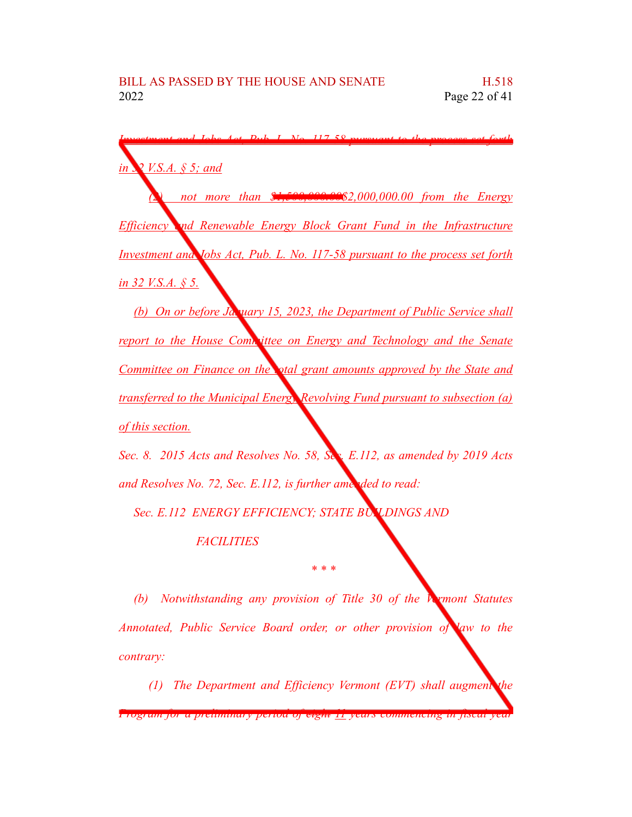| $I$ $N_2$ $117.58$ purguant to                                                |
|-------------------------------------------------------------------------------|
|                                                                               |
| in 2 V.S.A. § 5; and                                                          |
|                                                                               |
| not more than \$1,500,000.00\$2,000,000.00 from the Energy                    |
|                                                                               |
| <b>Efficiency and Renewable Energy Block Grant Fund in the Infrastructure</b> |
|                                                                               |
| Investment and Jobs Act, Pub. L. No. 117-58 pursuant to the process set forth |
|                                                                               |
| <u>in 32 V.S.A. § 5.</u>                                                      |
|                                                                               |
| (b) On or before Ja. wary 15, 2023, the Department of Public Service shall    |
| report to the House Committee on Energy and Technology and the Senate         |
|                                                                               |
| Committee on Finance on the otal grant amounts approved by the State and      |
|                                                                               |
| transferred to the Municipal Energy Revolving Fund pursuant to subsection (a) |
|                                                                               |
| <u>of this section.</u>                                                       |
|                                                                               |
| Sec. 8. 2015 Acts and Resolves No. 58, Sec. E.112, as amended by 2019 Acts    |
|                                                                               |
| and Resolves No. 72, Sec. E.112, is further amended to read:                  |
|                                                                               |
| Sec. E.112 ENERGY EFFICIENCY; STATE BULDINGS AND                              |

*FACILITIES*

*(b) Notwithstanding any provision of Title 30 of the Vermont Statutes Annotated, Public Service Board order, or other provision of law to the contrary:*

*\* \* \**

*(1) The Department and Efficiency Vermont (EVT) shall augment the*

*Program for a preliminary period of eight 11 years commencing in fiscal year*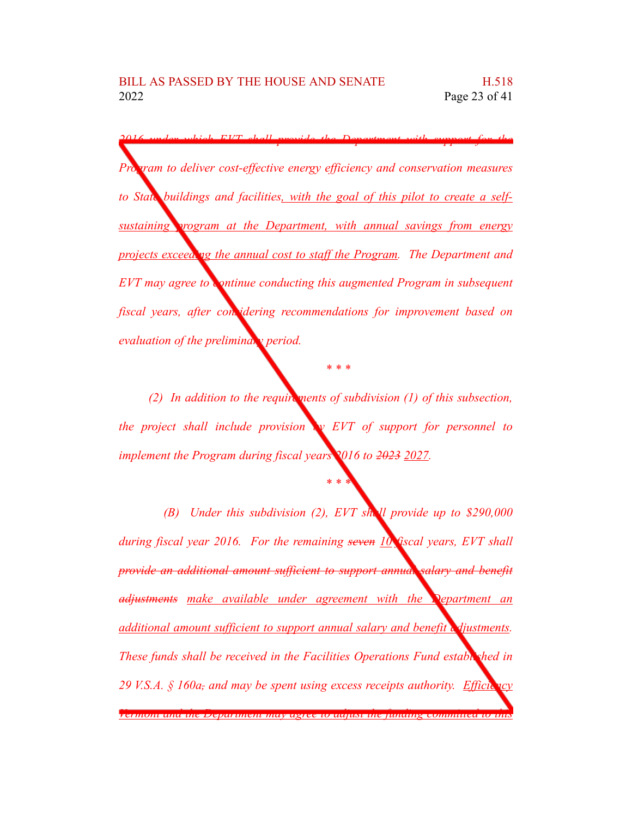*2016 under which EVT shall provide the Department with support for the Pram to deliver cost-effective energy efficiency and conservation measures to State buildings and facilities, with the goal of this pilot to create a selfsustaining program at the Department, with annual savings from energy projects exceeding the annual cost to staff the Program. The Department and EVT may agree to continue conducting this augmented Program in subsequent fiscal years, after considering recommendations for improvement based on evaluation of the preliminary period.*

*(2) In addition to the requirements of subdivision (1) of this subsection, the project shall include provision by EVT of support for personnel to implement the Program during fiscal years 2016 to 2023 2027.*

*\* \* \**

*\* \* \**

*(B) Under this subdivision (2), EVT shall provide up to \$290,000 during fiscal year 2016. For the remaining seven 10 fiscal years, EVT shall provide an additional amount sufficient to support annual salary and benefit adjustments make available under agreement with the Department an additional amount sufficient to support annual salary and benefit adjustments. These funds shall be received in the Facilities Operations Fund established in 29 V.S.A.* § 160a, and may be spent using excess receipts authority. Efficiency *Vermont and the Department may agree to adjust the funding committed to this*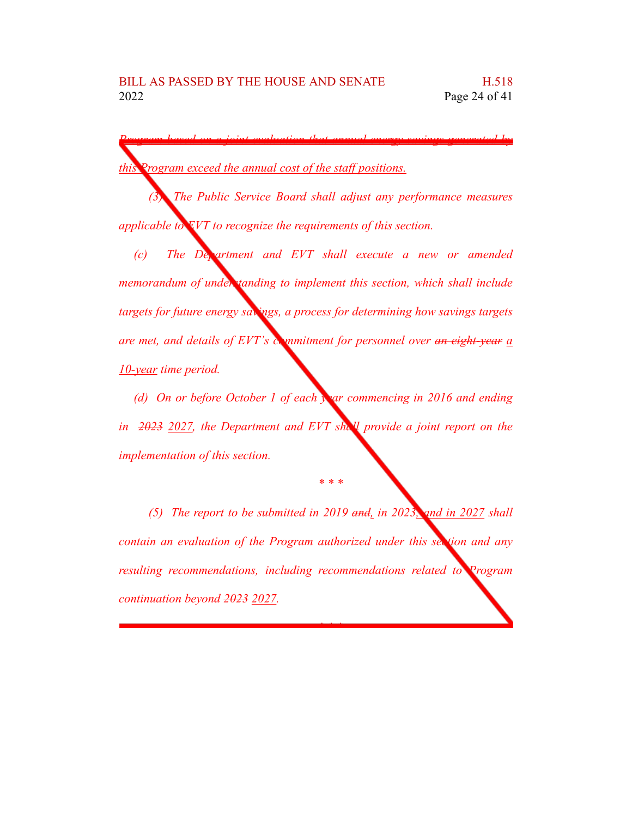*Program based on a joint evaluation that annual energy savings generated by this Program exceed the annual cost of the staff positions.*

*(3) The Public Service Board shall adjust any performance measures applicable to EVT to recognize the requirements of this section.*

*(c) The Department and EVT shall execute a new or amended memorandum of understanding to implement this section, which shall include targets for future energy savings, a process for determining how savings targets are met, and details of EVT's commitment for personnel over an eight-year a 10-year time period.*

*(d) On or before October 1 of each year commencing in 2016 and ending in 2023 2027, the Department and EVT shall provide a joint report on the implementation of this section.*

*\* \* \**

*(5) The report to be submitted in 2019 and, in 2023, and in 2027 shall contain an evaluation of the Program authorized under this section and any resulting recommendations, including recommendations related to Program continuation beyond 2023 2027.*

*\* \* \**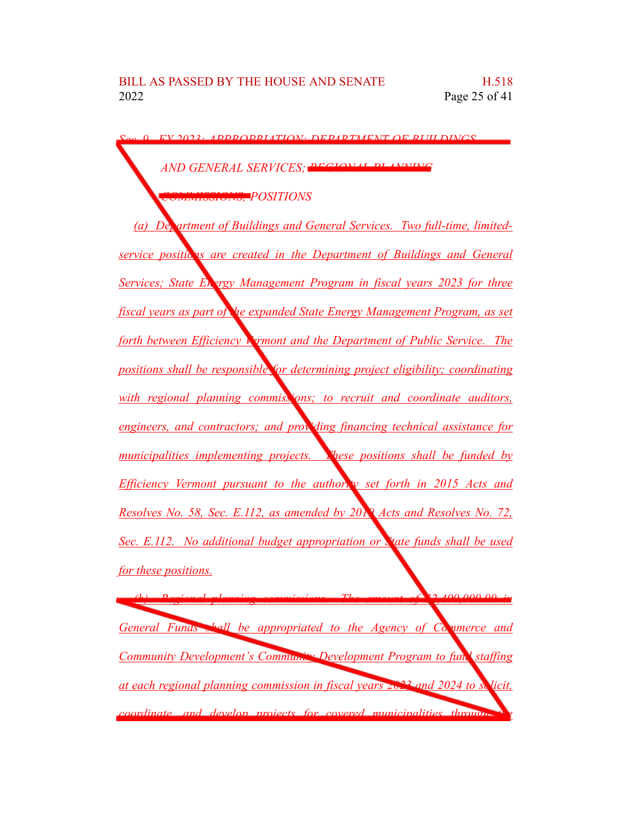*Sec. 9. FY 2023; APPROPRIATION; DEPARTMENT OF BUILDINGS AND GENERAL SERVICES: PEGION COMMISSIONS; POSITIONS (a) Department of Buildings and General Services. Two full-time, limited-<u>service positic<sup>1</sup>s are created in the Department of Buildings and General*</u> *<u>Services; State Energy Management Program in fiscal years* 2023 *for three*</u> *fiscal years as part of the expanded State Energy Management Program, as set forth between Efficiency Vermont and the Department of Public Service. The positions shall be responsible for determining project eligibility; coordinating with regional planning commissions; to recruit and coordinate auditors, engineers, and contractors; and providing financing technical assistance for municipalities implementing projects. These positions shall be funded by Efficiency Vermont pursuant to the authority set forth in 2015 Acts and Resolves No. 58, Sec. E.112, as amended by 2019 Acts and Resolves No. 72, Sec. E.112. No additional budget appropriation or State funds shall be used for these positions. (b) Regional planning commissions. The amount of \$2,400,000.00 in General Funds shall be appropriated to the Agency of Commerce and Community Development's Community Development Program to fund staffing at each regional planning commission in fiscal years 2023 and 2024 to solicit, coordinate, and develop projects for covered municipalities through the*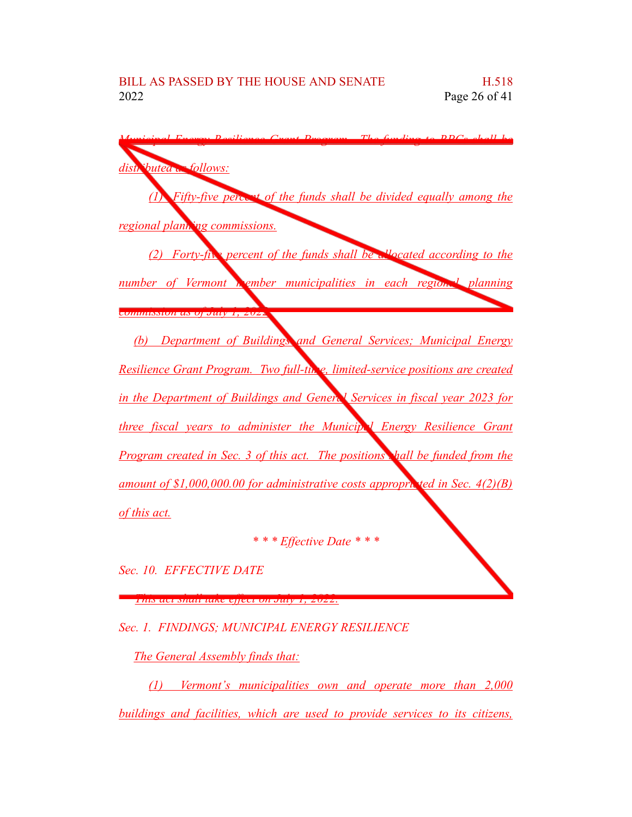| $\lim_{\alpha \to 0}$ DDC <sub>a Sha</sub> ll h                                  |
|----------------------------------------------------------------------------------|
| <i><b>Souted on follows:</b></i><br>dist                                         |
| <i>(I) Fifty-five percent of the funds shall be divided equally among the</i>    |
| regional plant ing commissions.                                                  |
| (2) Forty-five percent of the funds shall be allocated according to the          |
| number of Vermont <b>Rember municipalities in each region.</b> planning          |
| <mark>Juhanul un uj July 1, 4044</mark>                                          |
| (b) Department of Buildings and General Services; Municipal Energy               |
| Resilience Grant Program. Two full-thre, limited-service positions are created   |
| in the Department of Buildings and General Services in fiscal year 2023 for      |
| three fiscal years to administer the Municip. I Energy Resilience Grant          |
| Program created in Sec. 3 of this act. The positions hall be funded from the     |
| amount of \$1,000,000.00 for administrative costs appropriated in Sec. $4(2)(B)$ |
| of this act.                                                                     |
| * * * Effective Date * * *                                                       |

*Sec. 10. EFFECTIVE DATE*

*This act shall take effect on July 1, 2022.*

*Sec. 1. FINDINGS; MUNICIPAL ENERGY RESILIENCE*

*The General Assembly finds that:*

*(1) Vermont's municipalities own and operate more than 2,000 buildings and facilities, which are used to provide services to its citizens,*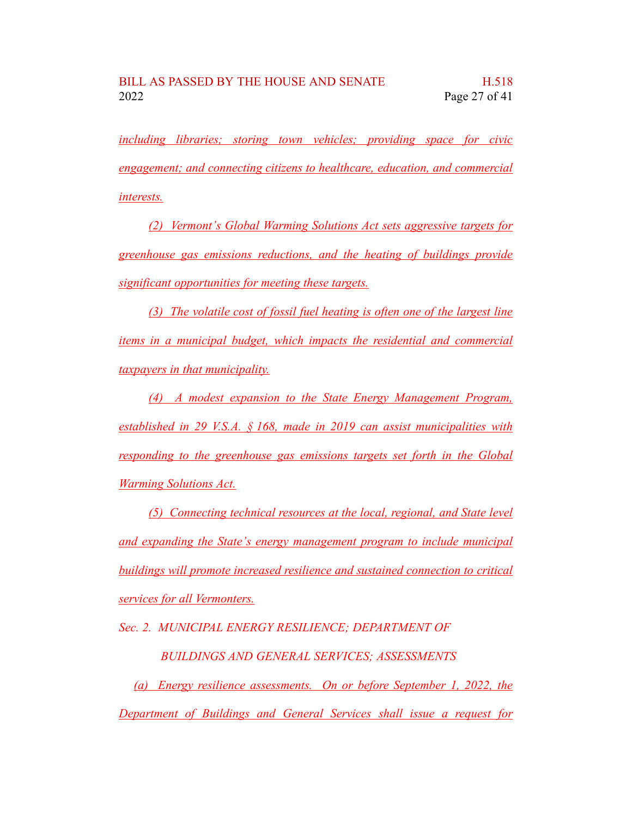*including libraries; storing town vehicles; providing space for civic engagement; and connecting citizens to healthcare, education, and commercial interests.*

*(2) Vermont's Global Warming Solutions Act sets aggressive targets for greenhouse gas emissions reductions, and the heating of buildings provide significant opportunities for meeting these targets.*

*(3) The volatile cost of fossil fuel heating is often one of the largest line items in a municipal budget, which impacts the residential and commercial taxpayers in that municipality.*

*(4) A modest expansion to the State Energy Management Program, established in 29 V.S.A. § 168, made in 2019 can assist municipalities with responding to the greenhouse gas emissions targets set forth in the Global Warming Solutions Act.*

*(5) Connecting technical resources at the local, regional, and State level and expanding the State's energy management program to include municipal buildings will promote increased resilience and sustained connection to critical services for all Vermonters.*

*Sec. 2. MUNICIPAL ENERGY RESILIENCE; DEPARTMENT OF*

*BUILDINGS AND GENERAL SERVICES; ASSESSMENTS*

*(a) Energy resilience assessments. On or before September 1, 2022, the Department of Buildings and General Services shall issue a request for*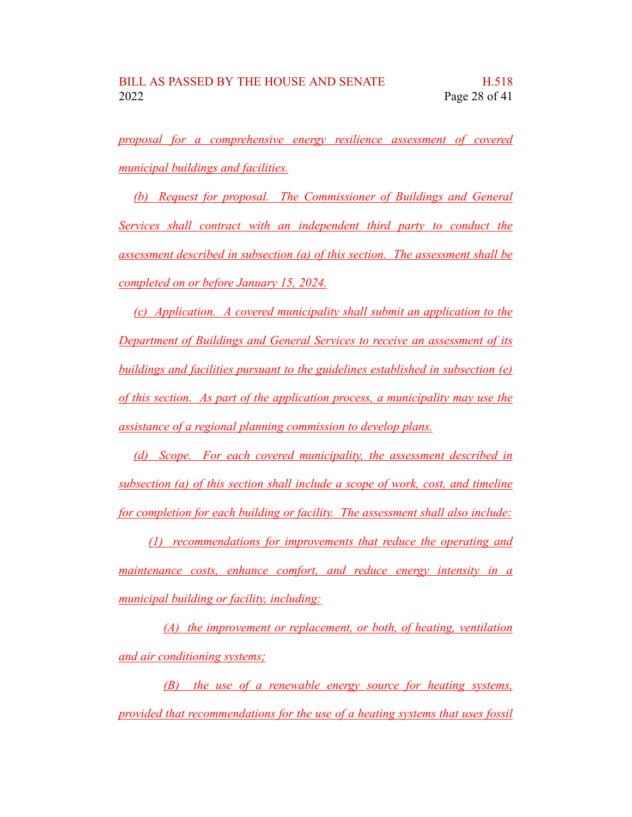*proposal for a comprehensive energy resilience assessment of covered municipal buildings and facilities.*

*(b) Request for proposal. The Commissioner of Buildings and General Services shall contract with an independent third party to conduct the assessment described in subsection (a) of this section. The assessment shall be completed on or before January 15, 2024.*

*(c) Application. A covered municipality shall submit an application to the Department of Buildings and General Services to receive an assessment of its buildings and facilities pursuant to the guidelines established in subsection (e) of this section. As part of the application process, a municipality may use the assistance of a regional planning commission to develop plans.*

*(d) Scope. For each covered municipality, the assessment described in subsection (a) of this section shall include a scope of work, cost, and timeline for completion for each building or facility. The assessment shall also include:*

*(1) recommendations for improvements that reduce the operating and maintenance costs, enhance comfort, and reduce energy intensity in a municipal building or facility, including:*

*(A) the improvement or replacement, or both, of heating, ventilation and air conditioning systems;*

*(B) the use of a renewable energy source for heating systems, provided that recommendations for the use of a heating systems that uses fossil*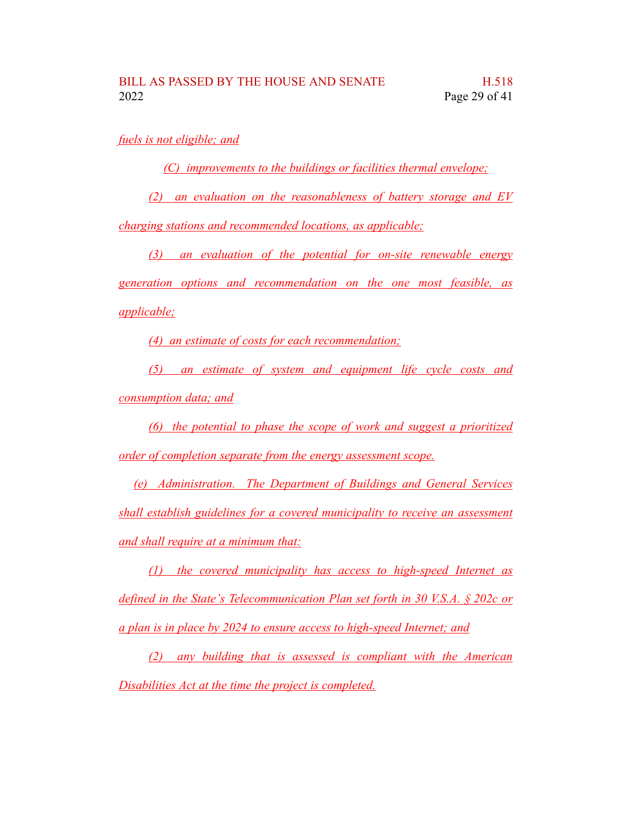*fuels is not eligible; and*

*(C) improvements to the buildings or facilities thermal envelope;*

*(2) an evaluation on the reasonableness of battery storage and EV*

*charging stations and recommended locations, as applicable;*

*(3) an evaluation of the potential for on-site renewable energy generation options and recommendation on the one most feasible, as applicable;*

*(4) an estimate of costs for each recommendation;*

*(5) an estimate of system and equipment life cycle costs and consumption data; and*

*(6) the potential to phase the scope of work and suggest a prioritized order of completion separate from the energy assessment scope.*

*(e) Administration. The Department of Buildings and General Services shall establish guidelines for a covered municipality to receive an assessment and shall require at a minimum that:*

*(1) the covered municipality has access to high-speed Internet as defined in the State's Telecommunication Plan set forth in 30 V.S.A. § 202c or a plan is in place by 2024 to ensure access to high-speed Internet; and*

*(2) any building that is assessed is compliant with the American Disabilities Act at the time the project is completed.*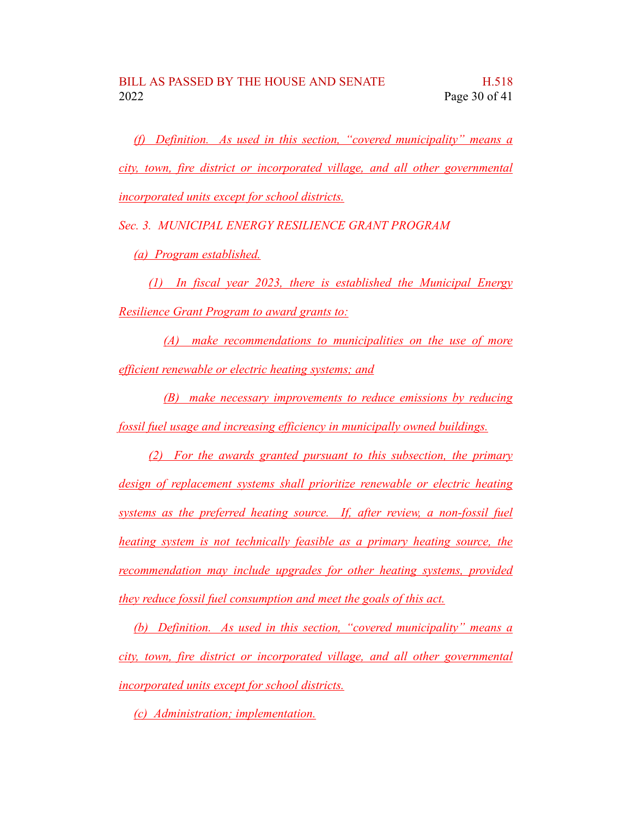*(f) Definition. As used in this section, "covered municipality" means a city, town, fire district or incorporated village, and all other governmental incorporated units except for school districts.*

*Sec. 3. MUNICIPAL ENERGY RESILIENCE GRANT PROGRAM*

*(a) Program established.*

*(1) In fiscal year 2023, there is established the Municipal Energy Resilience Grant Program to award grants to:*

*(A) make recommendations to municipalities on the use of more efficient renewable or electric heating systems; and*

*(B) make necessary improvements to reduce emissions by reducing fossil fuel usage and increasing efficiency in municipally owned buildings.*

*(2) For the awards granted pursuant to this subsection, the primary design of replacement systems shall prioritize renewable or electric heating systems as the preferred heating source. If, after review, a non-fossil fuel heating system is not technically feasible as a primary heating source, the recommendation may include upgrades for other heating systems, provided they reduce fossil fuel consumption and meet the goals of this act.*

*(b) Definition. As used in this section, "covered municipality" means a city, town, fire district or incorporated village, and all other governmental incorporated units except for school districts.*

*(c) Administration; implementation.*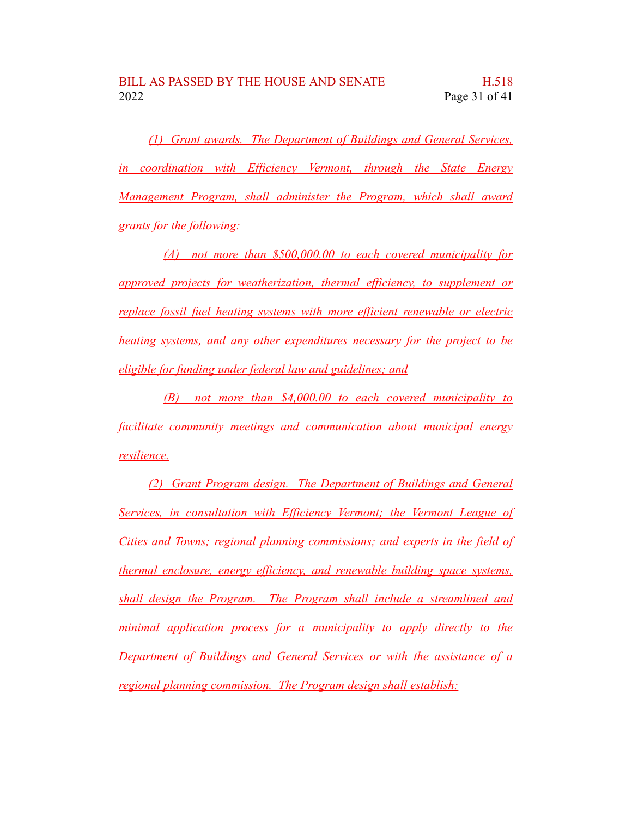*(1) Grant awards. The Department of Buildings and General Services, in coordination with Efficiency Vermont, through the State Energy Management Program, shall administer the Program, which shall award grants for the following:*

*(A) not more than \$500,000.00 to each covered municipality for approved projects for weatherization, thermal efficiency, to supplement or replace fossil fuel heating systems with more efficient renewable or electric heating systems, and any other expenditures necessary for the project to be eligible for funding under federal law and guidelines; and*

*(B) not more than \$4,000.00 to each covered municipality to facilitate community meetings and communication about municipal energy resilience.*

*(2) Grant Program design. The Department of Buildings and General Services, in consultation with Efficiency Vermont; the Vermont League of Cities and Towns; regional planning commissions; and experts in the field of thermal enclosure, energy efficiency, and renewable building space systems, shall design the Program. The Program shall include a streamlined and minimal application process for a municipality to apply directly to the Department of Buildings and General Services or with the assistance of a regional planning commission. The Program design shall establish:*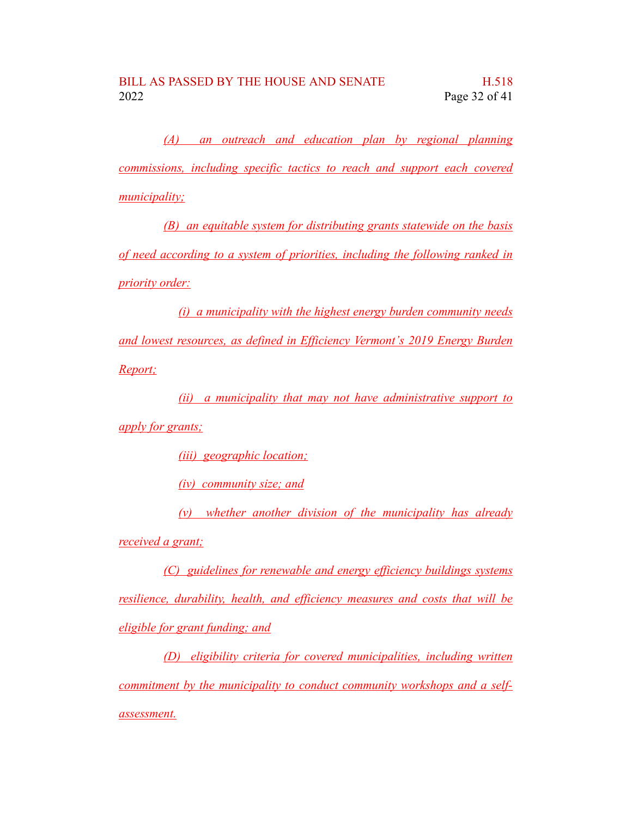*(A) an outreach and education plan by regional planning commissions, including specific tactics to reach and support each covered municipality;*

*(B) an equitable system for distributing grants statewide on the basis of need according to a system of priorities, including the following ranked in priority order:*

*(i) a municipality with the highest energy burden community needs and lowest resources, as defined in Efficiency Vermont's 2019 Energy Burden Report;*

*(ii) a municipality that may not have administrative support to apply for grants;*

*(iii) geographic location;*

*(iv) community size; and*

*(v) whether another division of the municipality has already received a grant;*

*(C) guidelines for renewable and energy efficiency buildings systems resilience, durability, health, and efficiency measures and costs that will be eligible for grant funding; and*

*(D) eligibility criteria for covered municipalities, including written commitment by the municipality to conduct community workshops and a selfassessment.*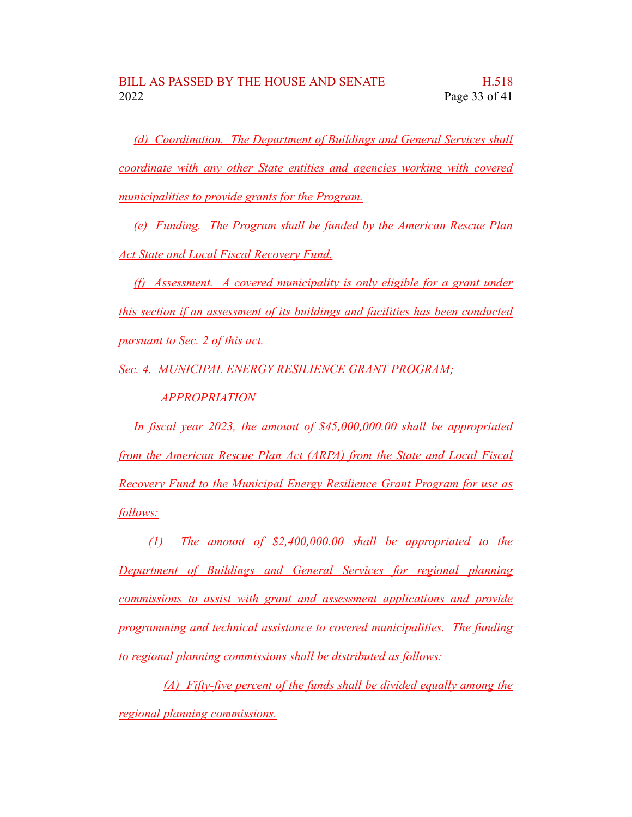*(d) Coordination. The Department of Buildings and General Services shall coordinate with any other State entities and agencies working with covered municipalities to provide grants for the Program.*

*(e) Funding. The Program shall be funded by the American Rescue Plan Act State and Local Fiscal Recovery Fund.*

*(f) Assessment. A covered municipality is only eligible for a grant under this section if an assessment of its buildings and facilities has been conducted pursuant to Sec. 2 of this act.*

*Sec. 4. MUNICIPAL ENERGY RESILIENCE GRANT PROGRAM;*

*APPROPRIATION*

*In fiscal year 2023, the amount of \$45,000,000.00 shall be appropriated from the American Rescue Plan Act (ARPA) from the State and Local Fiscal Recovery Fund to the Municipal Energy Resilience Grant Program for use as follows:*

*(1) The amount of \$2,400,000.00 shall be appropriated to the Department of Buildings and General Services for regional planning commissions to assist with grant and assessment applications and provide programming and technical assistance to covered municipalities. The funding to regional planning commissions shall be distributed as follows:*

*(A) Fifty-five percent of the funds shall be divided equally among the regional planning commissions.*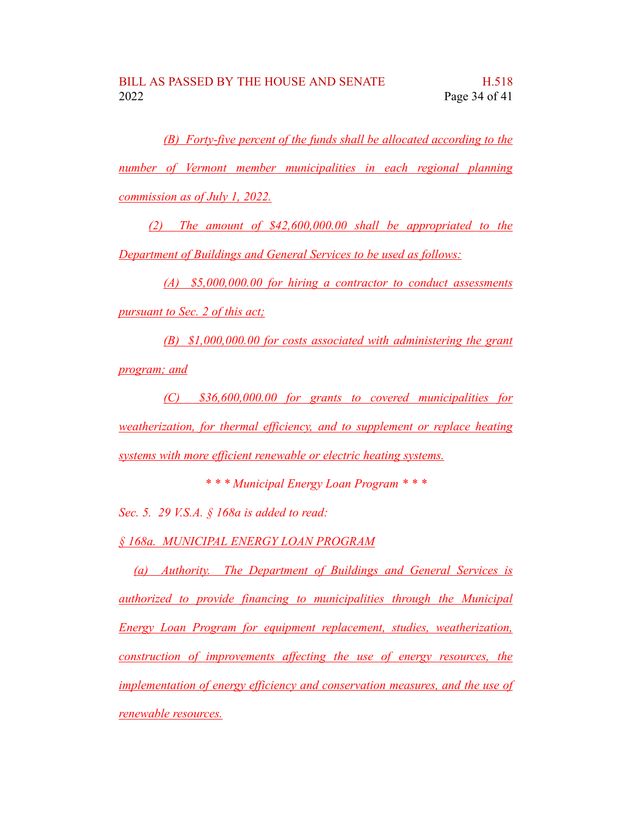*(B) Forty-five percent of the funds shall be allocated according to the number of Vermont member municipalities in each regional planning commission as of July 1, 2022.*

*(2) The amount of \$42,600,000.00 shall be appropriated to the Department of Buildings and General Services to be used as follows:*

*(A) \$5,000,000.00 for hiring a contractor to conduct assessments pursuant to Sec. 2 of this act;*

*(B) \$1,000,000.00 for costs associated with administering the grant program; and*

*(C) \$36,600,000.00 for grants to covered municipalities for weatherization, for thermal efficiency, and to supplement or replace heating systems with more efficient renewable or electric heating systems.*

*\* \* \* Municipal Energy Loan Program \* \* \**

*Sec. 5. 29 V.S.A. § 168a is added to read:*

*§ 168a. MUNICIPAL ENERGY LOAN PROGRAM*

*(a) Authority. The Department of Buildings and General Services is authorized to provide financing to municipalities through the Municipal Energy Loan Program for equipment replacement, studies, weatherization, construction of improvements affecting the use of energy resources, the implementation of energy efficiency and conservation measures, and the use of renewable resources.*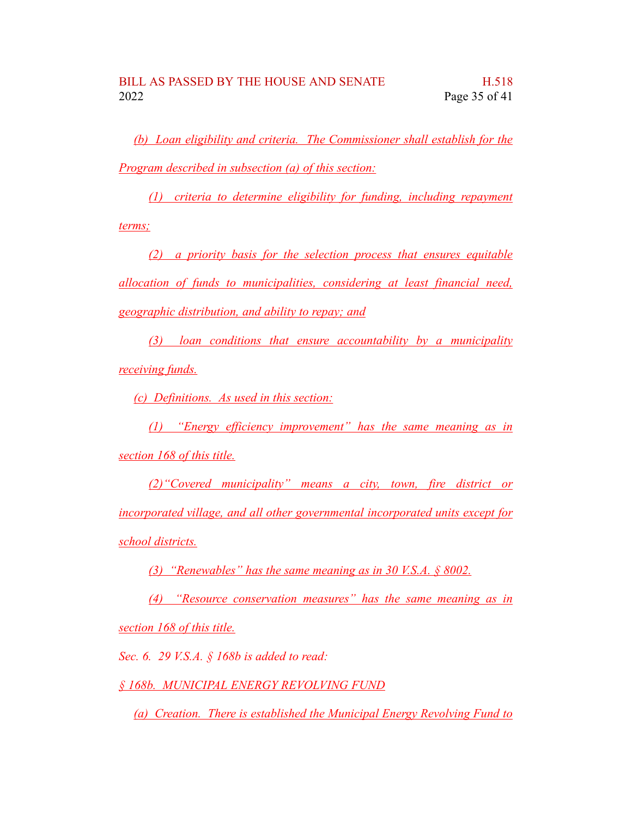*(b) Loan eligibility and criteria. The Commissioner shall establish for the Program described in subsection (a) of this section:*

*(1) criteria to determine eligibility for funding, including repayment terms;*

*(2) a priority basis for the selection process that ensures equitable allocation of funds to municipalities, considering at least financial need, geographic distribution, and ability to repay; and*

*(3) loan conditions that ensure accountability by a municipality receiving funds.*

*(c) Definitions. As used in this section:*

*(1) "Energy efficiency improvement" has the same meaning as in section 168 of this title.*

*(2)"Covered municipality" means a city, town, fire district or incorporated village, and all other governmental incorporated units except for school districts.*

*(3) "Renewables" has the same meaning as in 30 V.S.A. § 8002.*

*(4) "Resource conservation measures" has the same meaning as in section 168 of this title.*

*Sec. 6. 29 V.S.A. § 168b is added to read:*

*§ 168b. MUNICIPAL ENERGY REVOLVING FUND*

*(a) Creation. There is established the Municipal Energy Revolving Fund to*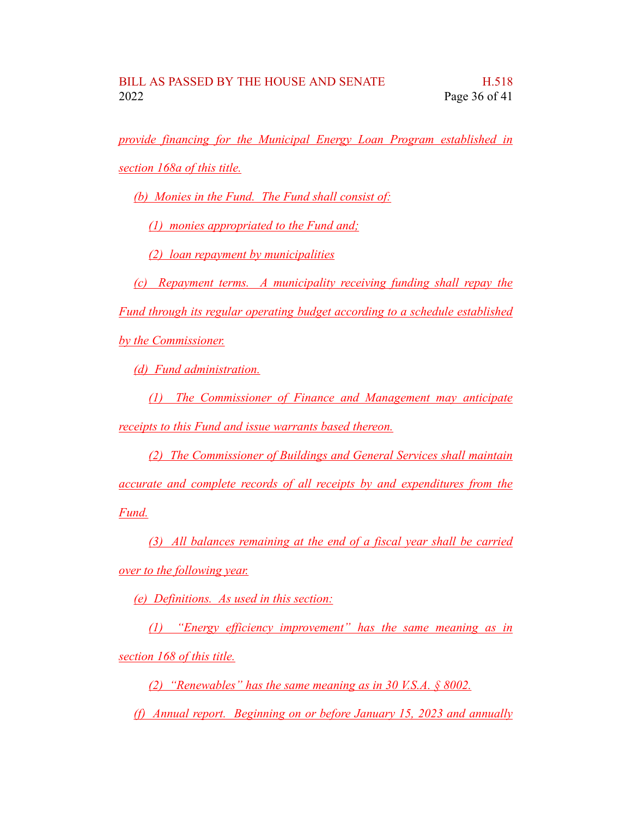*provide financing for the Municipal Energy Loan Program established in section 168a of this title.*

*(b) Monies in the Fund. The Fund shall consist of:*

*(1) monies appropriated to the Fund and;*

*(2) loan repayment by municipalities*

*(c) Repayment terms. A municipality receiving funding shall repay the Fund through its regular operating budget according to a schedule established by the Commissioner.*

*(d) Fund administration.*

*(1) The Commissioner of Finance and Management may anticipate receipts to this Fund and issue warrants based thereon.*

*(2) The Commissioner of Buildings and General Services shall maintain accurate and complete records of all receipts by and expenditures from the Fund.*

*(3) All balances remaining at the end of a fiscal year shall be carried over to the following year.*

*(e) Definitions. As used in this section:*

*(1) "Energy efficiency improvement" has the same meaning as in section 168 of this title.*

*(2) "Renewables" has the same meaning as in 30 V.S.A. § 8002.*

*(f) Annual report. Beginning on or before January 15, 2023 and annually*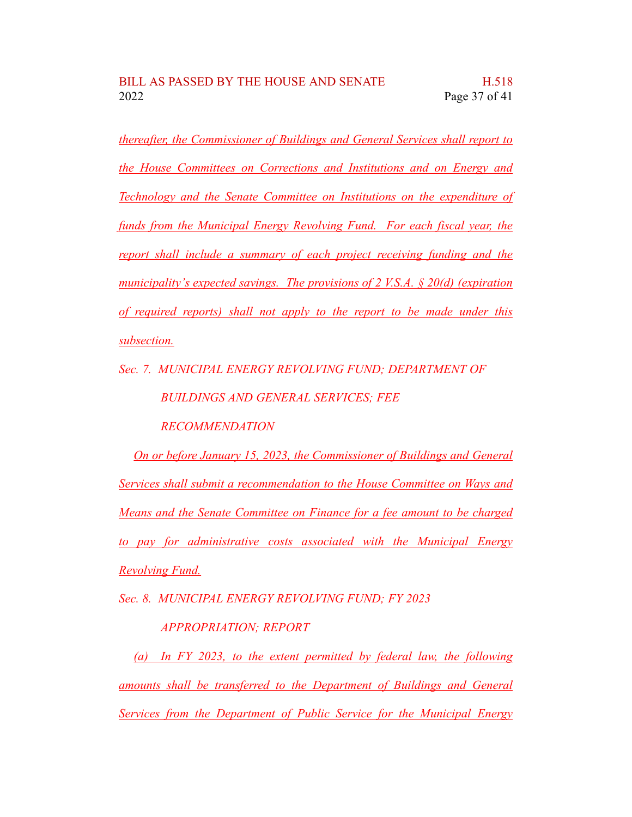*thereafter, the Commissioner of Buildings and General Services shall report to the House Committees on Corrections and Institutions and on Energy and Technology and the Senate Committee on Institutions on the expenditure of funds from the Municipal Energy Revolving Fund. For each fiscal year, the report shall include a summary of each project receiving funding and the municipality's expected savings. The provisions of 2 V.S.A. § 20(d) (expiration of required reports) shall not apply to the report to be made under this subsection.*

*Sec. 7. MUNICIPAL ENERGY REVOLVING FUND; DEPARTMENT OF BUILDINGS AND GENERAL SERVICES; FEE*

*RECOMMENDATION*

*On or before January 15, 2023, the Commissioner of Buildings and General Services shall submit a recommendation to the House Committee on Ways and Means and the Senate Committee on Finance for a fee amount to be charged to pay for administrative costs associated with the Municipal Energy Revolving Fund.*

*Sec. 8. MUNICIPAL ENERGY REVOLVING FUND; FY 2023*

## *APPROPRIATION; REPORT*

*(a) In FY 2023, to the extent permitted by federal law, the following amounts shall be transferred to the Department of Buildings and General Services from the Department of Public Service for the Municipal Energy*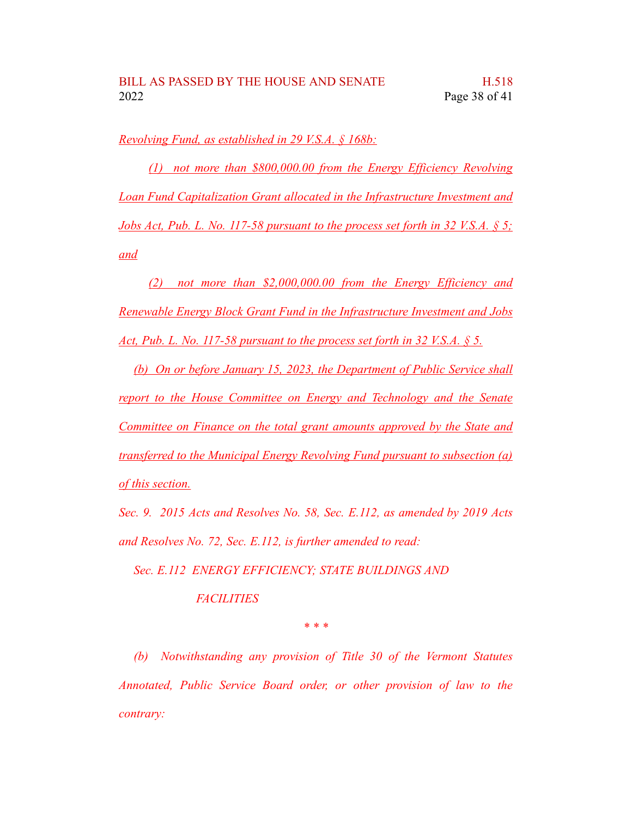*Revolving Fund, as established in 29 V.S.A. § 168b:*

*(1) not more than \$800,000.00 from the Energy Efficiency Revolving Loan Fund Capitalization Grant allocated in the Infrastructure Investment and Jobs Act, Pub. L. No. 117-58 pursuant to the process set forth in 32 V.S.A. § 5; and*

*(2) not more than \$2,000,000.00 from the Energy Efficiency and Renewable Energy Block Grant Fund in the Infrastructure Investment and Jobs Act, Pub. L. No. 117-58 pursuant to the process set forth in 32 V.S.A. § 5.*

*(b) On or before January 15, 2023, the Department of Public Service shall report to the House Committee on Energy and Technology and the Senate Committee on Finance on the total grant amounts approved by the State and transferred to the Municipal Energy Revolving Fund pursuant to subsection (a) of this section.*

*Sec. 9. 2015 Acts and Resolves No. 58, Sec. E.112, as amended by 2019 Acts and Resolves No. 72, Sec. E.112, is further amended to read:*

*Sec. E.112 ENERGY EFFICIENCY; STATE BUILDINGS AND*

*FACILITIES*

*\* \* \**

*(b) Notwithstanding any provision of Title 30 of the Vermont Statutes Annotated, Public Service Board order, or other provision of law to the contrary:*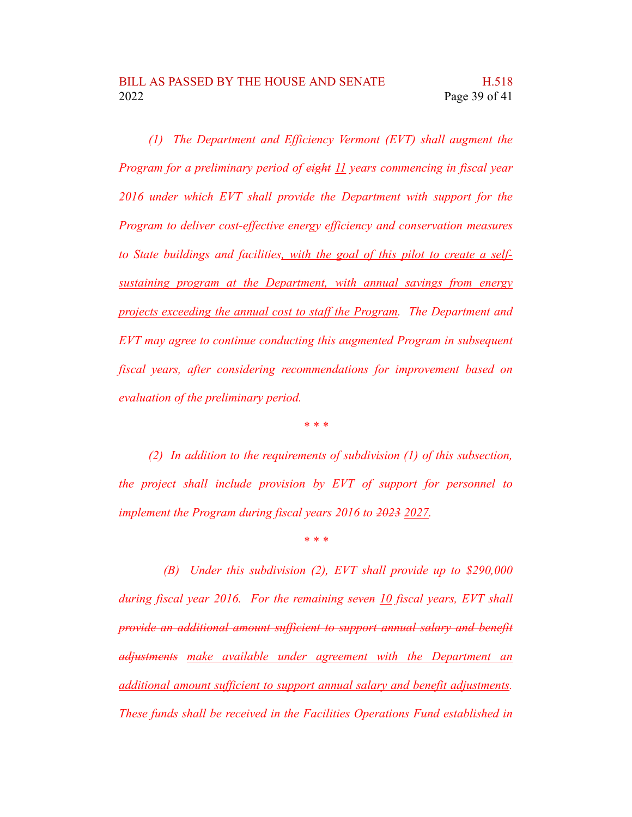*(1) The Department and Efficiency Vermont (EVT) shall augment the Program for a preliminary period of eight 11 years commencing in fiscal year 2016 under which EVT shall provide the Department with support for the Program to deliver cost-effective energy efficiency and conservation measures to State buildings and facilities, with the goal of this pilot to create a selfsustaining program at the Department, with annual savings from energy projects exceeding the annual cost to staff the Program. The Department and EVT may agree to continue conducting this augmented Program in subsequent fiscal years, after considering recommendations for improvement based on evaluation of the preliminary period.*

*\* \* \**

*(2) In addition to the requirements of subdivision (1) of this subsection, the project shall include provision by EVT of support for personnel to implement the Program during fiscal years 2016 to 2023 2027.*

*\* \* \**

*(B) Under this subdivision (2), EVT shall provide up to \$290,000 during fiscal year 2016. For the remaining seven 10 fiscal years, EVT shall provide an additional amount sufficient to support annual salary and benefit adjustments make available under agreement with the Department an additional amount sufficient to support annual salary and benefit adjustments. These funds shall be received in the Facilities Operations Fund established in*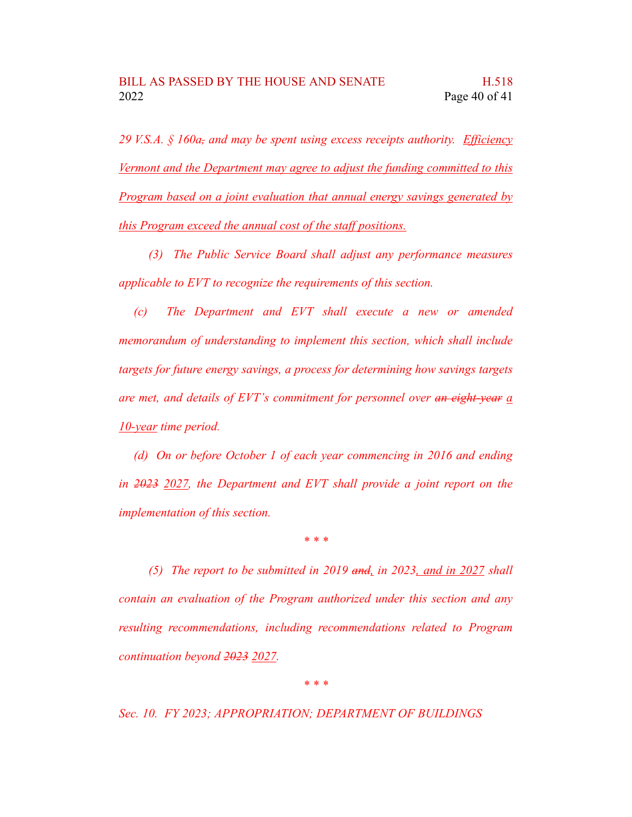*29 V.S.A. § 160a, and may be spent using excess receipts authority. Efficiency Vermont and the Department may agree to adjust the funding committed to this Program based on a joint evaluation that annual energy savings generated by this Program exceed the annual cost of the staff positions.*

*(3) The Public Service Board shall adjust any performance measures applicable to EVT to recognize the requirements of this section.*

*(c) The Department and EVT shall execute a new or amended memorandum of understanding to implement this section, which shall include targets for future energy savings, a process for determining how savings targets are met, and details of EVT's commitment for personnel over an eight-year a 10-year time period.*

*(d) On or before October 1 of each year commencing in 2016 and ending in 2023 2027, the Department and EVT shall provide a joint report on the implementation of this section.*

*\* \* \**

*(5) The report to be submitted in 2019 and, in 2023, and in 2027 shall contain an evaluation of the Program authorized under this section and any resulting recommendations, including recommendations related to Program continuation beyond 2023 2027.*

*\* \* \**

*Sec. 10. FY 2023; APPROPRIATION; DEPARTMENT OF BUILDINGS*